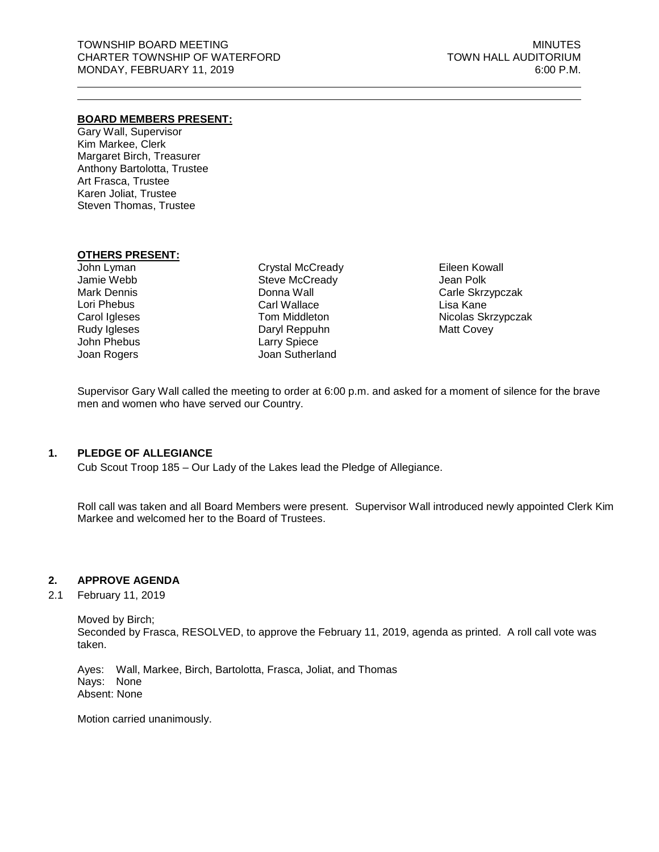#### **BOARD MEMBERS PRESENT:**

Gary Wall, Supervisor Kim Markee, Clerk Margaret Birch, Treasurer Anthony Bartolotta, Trustee Art Frasca, Trustee Karen Joliat, Trustee Steven Thomas, Trustee

#### **OTHERS PRESENT:**

John Lyman Jamie Webb Mark Dennis Lori Phebus Carol Igleses Rudy Igleses John Phebus Joan Rogers

Crystal McCready Steve McCready Donna Wall Carl Wallace Tom Middleton Daryl Reppuhn Larry Spiece Joan Sutherland

Eileen Kowall Jean Polk Carle Skrzypczak Lisa Kane Nicolas Skrzypczak Matt Covey

Supervisor Gary Wall called the meeting to order at 6:00 p.m. and asked for a moment of silence for the brave men and women who have served our Country.

### **1. PLEDGE OF ALLEGIANCE**

Cub Scout Troop 185 – Our Lady of the Lakes lead the Pledge of Allegiance.

Roll call was taken and all Board Members were present. Supervisor Wall introduced newly appointed Clerk Kim Markee and welcomed her to the Board of Trustees.

#### **2. APPROVE AGENDA**

2.1 February 11, 2019

Moved by Birch; Seconded by Frasca, RESOLVED, to approve the February 11, 2019, agenda as printed. A roll call vote was taken.

Ayes: Wall, Markee, Birch, Bartolotta, Frasca, Joliat, and Thomas Nays: None Absent: None

Motion carried unanimously.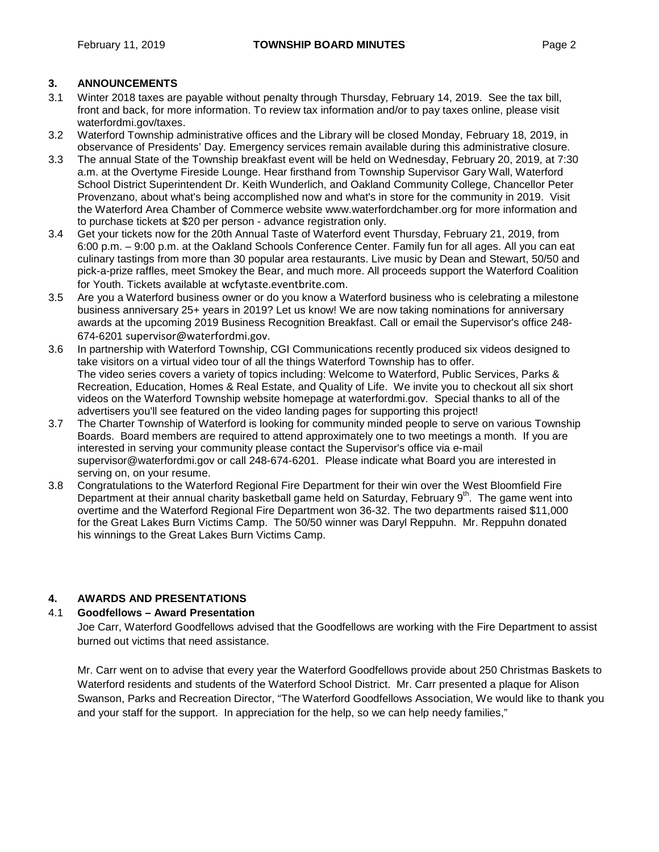## **3. ANNOUNCEMENTS**

- 3.1 Winter 2018 taxes are payable without penalty through Thursday, February 14, 2019. See the tax bill, front and back, for more information. To review tax information and/or to pay taxes online, please visit waterfordmi.gov/taxes.
- 3.2 Waterford Township administrative offices and the Library will be closed Monday, February 18, 2019, in observance of Presidents' Day. Emergency services remain available during this administrative closure.
- 3.3 The annual State of the Township breakfast event will be held on Wednesday, February 20, 2019, at 7:30 a.m. at the Overtyme Fireside Lounge. Hear firsthand from Township Supervisor Gary Wall, Waterford School District Superintendent Dr. Keith Wunderlich, and Oakland Community College, Chancellor Peter Provenzano, about what's being accomplished now and what's in store for the community in 2019. Visit the Waterford Area Chamber of Commerce website www.waterfordchamber.org for more information and to purchase tickets at \$20 per person - advance registration only.
- 3.4 Get your tickets now for the 20th Annual Taste of Waterford event Thursday, February 21, 2019, from 6:00 p.m. – 9:00 p.m. at the Oakland Schools Conference Center. Family fun for all ages. All you can eat culinary tastings from more than 30 popular area restaurants. Live music by Dean and Stewart, 50/50 and pick-a-prize raffles, meet Smokey the Bear, and much more. All proceeds support the Waterford Coalition for Youth. Tickets available at [wcfytaste.eventbrite.com](http://www.wcfytaste.eventbrite.com/).
- 3.5 Are you a Waterford business owner or do you know a Waterford business who is celebrating a milestone business anniversary 25+ years in 2019? Let us know! We are now taking nominations for anniversary awards at the upcoming 2019 Business Recognition Breakfast. Call or email the Supervisor's office 248- 674-6201 [supervisor@waterfordmi.gov](mailto:supervisor@waterfordmi.gov).
- 3.6 In partnership with Waterford Township, CGI Communications recently produced six videos designed to take visitors on a virtual video tour of all the things Waterford Township has to offer. The video series covers a variety of topics including: Welcome to Waterford, Public Services, Parks & Recreation, Education, Homes & Real Estate, and Quality of Life. We invite you to checkout all six short videos on the Waterford Township website homepage at waterfordmi.gov. Special thanks to all of the advertisers you'll see featured on the video landing pages for supporting this project!
- 3.7 The Charter Township of Waterford is looking for community minded people to serve on various Township Boards. Board members are required to attend approximately one to two meetings a month. If you are interested in serving your community please contact the Supervisor's office via e-mail supervisor@waterfordmi.gov or call 248-674-6201. Please indicate what Board you are interested in serving on, on your resume.
- 3.8 Congratulations to the Waterford Regional Fire Department for their win over the West Bloomfield Fire Department at their annual charity basketball game held on Saturday, February  $9<sup>th</sup>$ . The game went into overtime and the Waterford Regional Fire Department won 36-32. The two departments raised \$11,000 for the Great Lakes Burn Victims Camp. The 50/50 winner was Daryl Reppuhn. Mr. Reppuhn donated his winnings to the Great Lakes Burn Victims Camp.

#### **4. AWARDS AND PRESENTATIONS**

#### 4.1 **Goodfellows – Award Presentation**

Joe Carr, Waterford Goodfellows advised that the Goodfellows are working with the Fire Department to assist burned out victims that need assistance.

Mr. Carr went on to advise that every year the Waterford Goodfellows provide about 250 Christmas Baskets to Waterford residents and students of the Waterford School District. Mr. Carr presented a plaque for Alison Swanson, Parks and Recreation Director, "The Waterford Goodfellows Association, We would like to thank you and your staff for the support. In appreciation for the help, so we can help needy families,"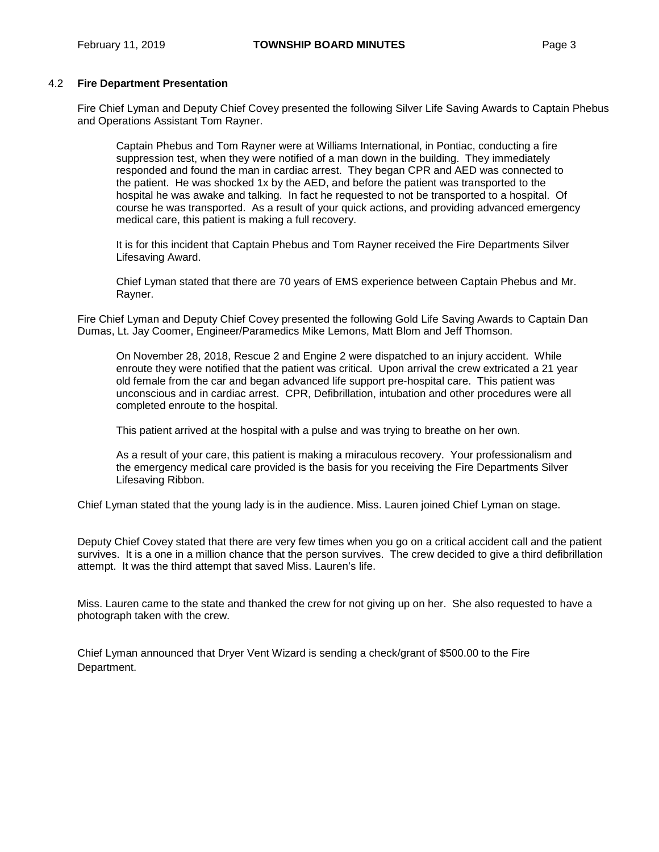#### 4.2 **Fire Department Presentation**

Fire Chief Lyman and Deputy Chief Covey presented the following Silver Life Saving Awards to Captain Phebus and Operations Assistant Tom Rayner.

Captain Phebus and Tom Rayner were at Williams International, in Pontiac, conducting a fire suppression test, when they were notified of a man down in the building. They immediately responded and found the man in cardiac arrest. They began CPR and AED was connected to the patient. He was shocked 1x by the AED, and before the patient was transported to the hospital he was awake and talking. In fact he requested to not be transported to a hospital. Of course he was transported. As a result of your quick actions, and providing advanced emergency medical care, this patient is making a full recovery.

It is for this incident that Captain Phebus and Tom Rayner received the Fire Departments Silver Lifesaving Award.

Chief Lyman stated that there are 70 years of EMS experience between Captain Phebus and Mr. Rayner.

Fire Chief Lyman and Deputy Chief Covey presented the following Gold Life Saving Awards to Captain Dan Dumas, Lt. Jay Coomer, Engineer/Paramedics Mike Lemons, Matt Blom and Jeff Thomson.

On November 28, 2018, Rescue 2 and Engine 2 were dispatched to an injury accident. While enroute they were notified that the patient was critical. Upon arrival the crew extricated a 21 year old female from the car and began advanced life support pre-hospital care. This patient was unconscious and in cardiac arrest. CPR, Defibrillation, intubation and other procedures were all completed enroute to the hospital.

This patient arrived at the hospital with a pulse and was trying to breathe on her own.

As a result of your care, this patient is making a miraculous recovery. Your professionalism and the emergency medical care provided is the basis for you receiving the Fire Departments Silver Lifesaving Ribbon.

Chief Lyman stated that the young lady is in the audience. Miss. Lauren joined Chief Lyman on stage.

Deputy Chief Covey stated that there are very few times when you go on a critical accident call and the patient survives. It is a one in a million chance that the person survives. The crew decided to give a third defibrillation attempt. It was the third attempt that saved Miss. Lauren's life.

Miss. Lauren came to the state and thanked the crew for not giving up on her. She also requested to have a photograph taken with the crew.

Chief Lyman announced that Dryer Vent Wizard is sending a check/grant of \$500.00 to the Fire Department.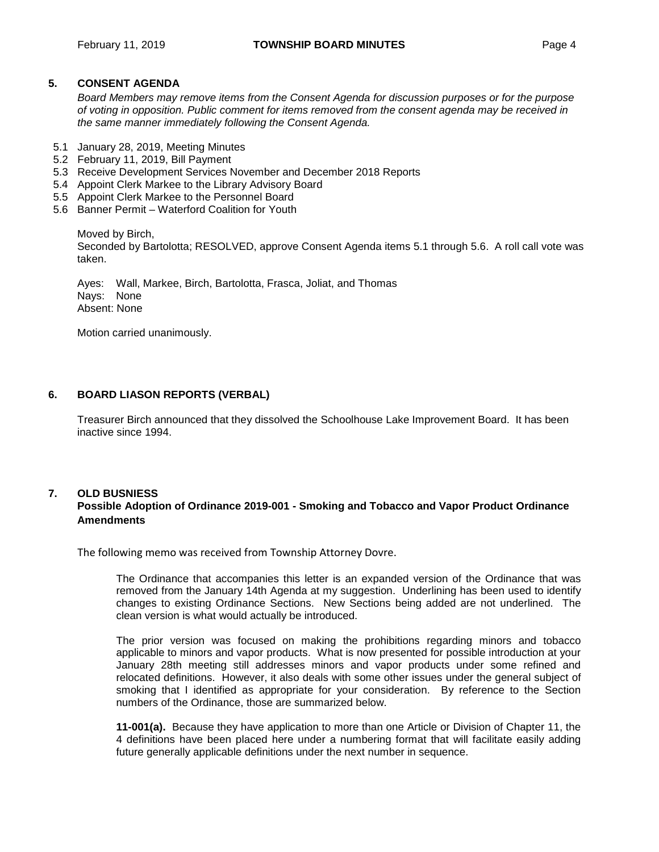#### **5. CONSENT AGENDA**

*Board Members may remove items from the Consent Agenda for discussion purposes or for the purpose of voting in opposition. Public comment for items removed from the consent agenda may be received in the same manner immediately following the Consent Agenda.*

- 5.1 January 28, 2019, Meeting Minutes
- 5.2 February 11, 2019, Bill Payment
- 5.3 Receive Development Services November and December 2018 Reports
- 5.4 Appoint Clerk Markee to the Library Advisory Board
- 5.5 Appoint Clerk Markee to the Personnel Board
- 5.6 Banner Permit Waterford Coalition for Youth

Moved by Birch,

Seconded by Bartolotta; RESOLVED, approve Consent Agenda items 5.1 through 5.6. A roll call vote was taken.

Ayes: Wall, Markee, Birch, Bartolotta, Frasca, Joliat, and Thomas Nays: None Absent: None

Motion carried unanimously.

#### **6. BOARD LIASON REPORTS (VERBAL)**

Treasurer Birch announced that they dissolved the Schoolhouse Lake Improvement Board. It has been inactive since 1994.

### **7. OLD BUSNIESS Possible Adoption of Ordinance 2019-001 - Smoking and Tobacco and Vapor Product Ordinance Amendments**

The following memo was received from Township Attorney Dovre.

The Ordinance that accompanies this letter is an expanded version of the Ordinance that was removed from the January 14th Agenda at my suggestion. Underlining has been used to identify changes to existing Ordinance Sections. New Sections being added are not underlined. The clean version is what would actually be introduced.

The prior version was focused on making the prohibitions regarding minors and tobacco applicable to minors and vapor products. What is now presented for possible introduction at your January 28th meeting still addresses minors and vapor products under some refined and relocated definitions. However, it also deals with some other issues under the general subject of smoking that I identified as appropriate for your consideration. By reference to the Section numbers of the Ordinance, those are summarized below.

**11-001(a).** Because they have application to more than one Article or Division of Chapter 11, the 4 definitions have been placed here under a numbering format that will facilitate easily adding future generally applicable definitions under the next number in sequence.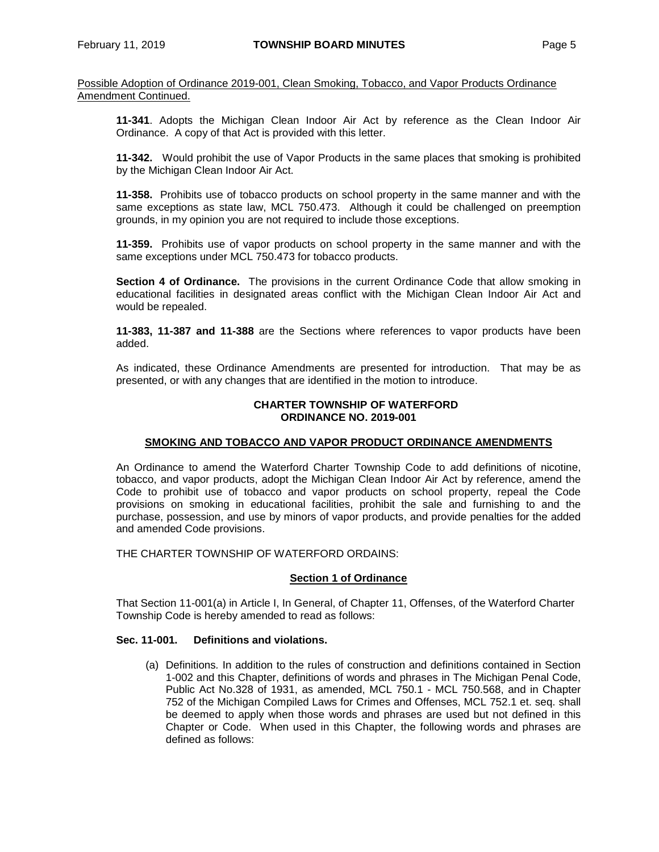**11-341**. Adopts the Michigan Clean Indoor Air Act by reference as the Clean Indoor Air Ordinance. A copy of that Act is provided with this letter.

**11-342.** Would prohibit the use of Vapor Products in the same places that smoking is prohibited by the Michigan Clean Indoor Air Act.

**11-358.** Prohibits use of tobacco products on school property in the same manner and with the same exceptions as state law, MCL 750.473. Although it could be challenged on preemption grounds, in my opinion you are not required to include those exceptions.

**11-359.** Prohibits use of vapor products on school property in the same manner and with the same exceptions under MCL 750.473 for tobacco products.

**Section 4 of Ordinance.** The provisions in the current Ordinance Code that allow smoking in educational facilities in designated areas conflict with the Michigan Clean Indoor Air Act and would be repealed.

**11-383, 11-387 and 11-388** are the Sections where references to vapor products have been added.

As indicated, these Ordinance Amendments are presented for introduction. That may be as presented, or with any changes that are identified in the motion to introduce.

#### **CHARTER TOWNSHIP OF WATERFORD ORDINANCE NO. 2019-001**

#### **SMOKING AND TOBACCO AND VAPOR PRODUCT ORDINANCE AMENDMENTS**

An Ordinance to amend the Waterford Charter Township Code to add definitions of nicotine, tobacco, and vapor products, adopt the Michigan Clean Indoor Air Act by reference, amend the Code to prohibit use of tobacco and vapor products on school property, repeal the Code provisions on smoking in educational facilities, prohibit the sale and furnishing to and the purchase, possession, and use by minors of vapor products, and provide penalties for the added and amended Code provisions.

THE CHARTER TOWNSHIP OF WATERFORD ORDAINS:

#### **Section 1 of Ordinance**

That Section 11-001(a) in Article I, In General, of Chapter 11, Offenses, of the Waterford Charter Township Code is hereby amended to read as follows:

#### **Sec. 11-001. Definitions and violations.**

(a) Definitions*.* In addition to the rules of construction and definitions contained in Section 1-002 and this Chapter, definitions of words and phrases in The Michigan Penal Code, Public Act No.328 of 1931, as amended, MCL 750.1 - MCL 750.568, and in Chapter 752 of the Michigan Compiled Laws for Crimes and Offenses, MCL 752.1 et. seq. shall be deemed to apply when those words and phrases are used but not defined in this Chapter or Code. When used in this Chapter, the following words and phrases are defined as follows: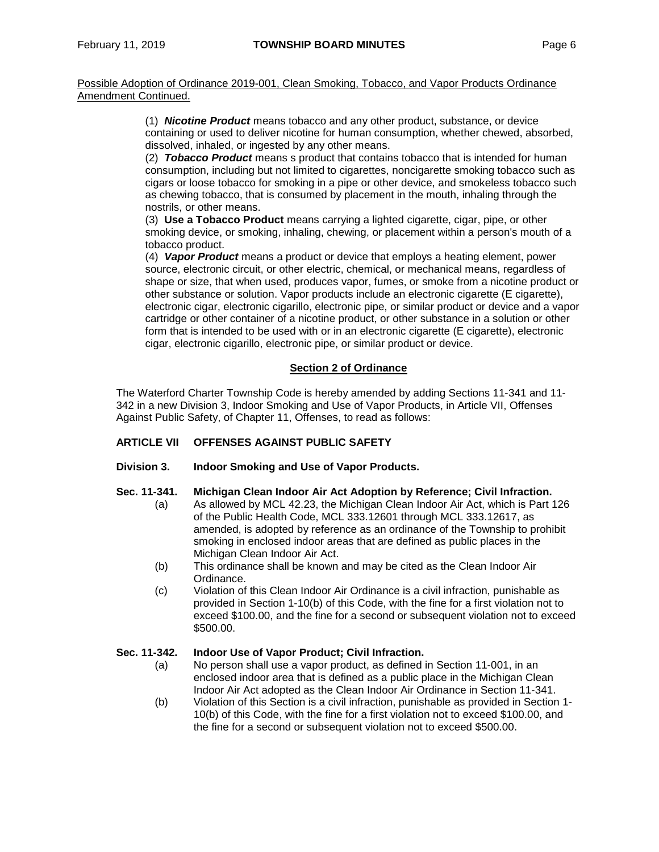> (1) *Nicotine Product* means tobacco and any other product, substance, or device containing or used to deliver nicotine for human consumption, whether chewed, absorbed, dissolved, inhaled, or ingested by any other means.

> (2) *Tobacco Product* means s product that contains tobacco that is intended for human consumption, including but not limited to cigarettes, noncigarette smoking tobacco such as cigars or loose tobacco for smoking in a pipe or other device, and smokeless tobacco such as chewing tobacco, that is consumed by placement in the mouth, inhaling through the nostrils, or other means.

(3) **Use a Tobacco Product** means carrying a lighted cigarette, cigar, pipe, or other smoking device, or smoking, inhaling, chewing, or placement within a person's mouth of a tobacco product.

(4) *Vapor Product* means a product or device that employs a heating element, power source, electronic circuit, or other electric, chemical, or mechanical means, regardless of shape or size, that when used, produces vapor, fumes, or smoke from a nicotine product or other substance or solution. Vapor products include an electronic cigarette (E cigarette), electronic cigar, electronic cigarillo, electronic pipe, or similar product or device and a vapor cartridge or other container of a nicotine product, or other substance in a solution or other form that is intended to be used with or in an electronic cigarette (E cigarette), electronic cigar, electronic cigarillo, electronic pipe, or similar product or device.

#### **Section 2 of Ordinance**

The Waterford Charter Township Code is hereby amended by adding Sections 11-341 and 11- 342 in a new Division 3, Indoor Smoking and Use of Vapor Products, in Article VII, Offenses Against Public Safety, of Chapter 11, Offenses, to read as follows:

#### **ARTICLE VII OFFENSES AGAINST PUBLIC SAFETY**

#### **Division 3. Indoor Smoking and Use of Vapor Products.**

#### **Sec. 11-341. Michigan Clean Indoor Air Act Adoption by Reference; Civil Infraction.**

- (a) As allowed by MCL 42.23, the Michigan Clean Indoor Air Act, which is Part 126 of the Public Health Code, MCL 333.12601 through MCL 333.12617, as amended, is adopted by reference as an ordinance of the Township to prohibit smoking in enclosed indoor areas that are defined as public places in the Michigan Clean Indoor Air Act.
- (b) This ordinance shall be known and may be cited as the Clean Indoor Air Ordinance.
- (c) Violation of this Clean Indoor Air Ordinance is a civil infraction, punishable as provided in Section 1-10(b) of this Code, with the fine for a first violation not to exceed \$100.00, and the fine for a second or subsequent violation not to exceed \$500.00.

#### **Sec. 11-342. Indoor Use of Vapor Product; Civil Infraction.**

- (a) No person shall use a vapor product, as defined in Section 11-001, in an enclosed indoor area that is defined as a public place in the Michigan Clean Indoor Air Act adopted as the Clean Indoor Air Ordinance in Section 11-341.
- (b) Violation of this Section is a civil infraction, punishable as provided in Section 1- 10(b) of this Code, with the fine for a first violation not to exceed \$100.00, and the fine for a second or subsequent violation not to exceed \$500.00.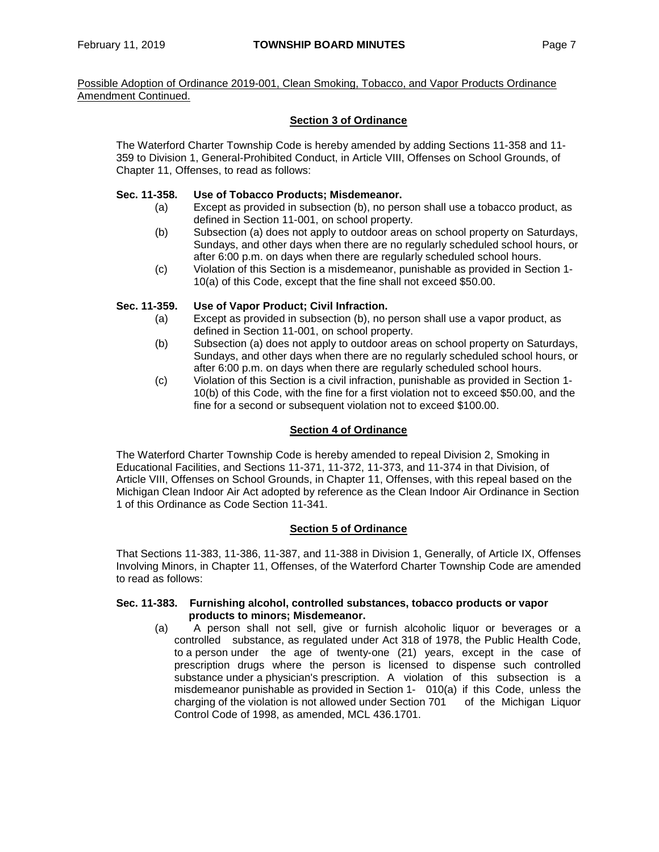### **Section 3 of Ordinance**

The Waterford Charter Township Code is hereby amended by adding Sections 11-358 and 11- 359 to Division 1, General-Prohibited Conduct, in Article VIII, Offenses on School Grounds, of Chapter 11, Offenses, to read as follows:

### **Sec. 11-358. Use of Tobacco Products; Misdemeanor.**

- (a) Except as provided in subsection (b), no person shall use a tobacco product, as defined in Section 11-001, on school property.
- (b) Subsection (a) does not apply to outdoor areas on school property on Saturdays, Sundays, and other days when there are no regularly scheduled school hours, or after 6:00 p.m. on days when there are regularly scheduled school hours.
- (c) Violation of this Section is a misdemeanor, punishable as provided in Section 1- 10(a) of this Code, except that the fine shall not exceed \$50.00.

## **Sec. 11-359. Use of Vapor Product; Civil Infraction.**

- (a) Except as provided in subsection (b), no person shall use a vapor product, as defined in Section 11-001, on school property.
- (b) Subsection (a) does not apply to outdoor areas on school property on Saturdays, Sundays, and other days when there are no regularly scheduled school hours, or after 6:00 p.m. on days when there are regularly scheduled school hours.
- (c) Violation of this Section is a civil infraction, punishable as provided in Section 1- 10(b) of this Code, with the fine for a first violation not to exceed \$50.00, and the fine for a second or subsequent violation not to exceed \$100.00.

### **Section 4 of Ordinance**

The Waterford Charter Township Code is hereby amended to repeal Division 2, Smoking in Educational Facilities, and Sections 11-371, 11-372, 11-373, and 11-374 in that Division, of Article VIII, Offenses on School Grounds, in Chapter 11, Offenses, with this repeal based on the Michigan Clean Indoor Air Act adopted by reference as the Clean Indoor Air Ordinance in Section 1 of this Ordinance as Code Section 11-341.

#### **Section 5 of Ordinance**

That Sections 11-383, 11-386, 11-387, and 11-388 in Division 1, Generally, of Article IX, Offenses Involving Minors, in Chapter 11, Offenses, of the Waterford Charter Township Code are amended to read as follows:

#### **Sec. 11-383. Furnishing alcohol, controlled substances, tobacco products or vapor products to minors; Misdemeanor.**

(a) A person shall not sell, give or furnish alcoholic liquor or beverages or a controlled substance, as regulated under Act 318 of 1978, the Public Health Code, to a person under the age of twenty-one (21) years, except in the case of prescription drugs where the person is licensed to dispense such controlled substance under a physician's prescription. A violation of this subsection is a misdemeanor punishable as provided in Section 1- 010(a) if this Code, unless the charging of the violation is not allowed under Section 701 of the Michigan Liquor Control Code of 1998, as amended, MCL 436.1701.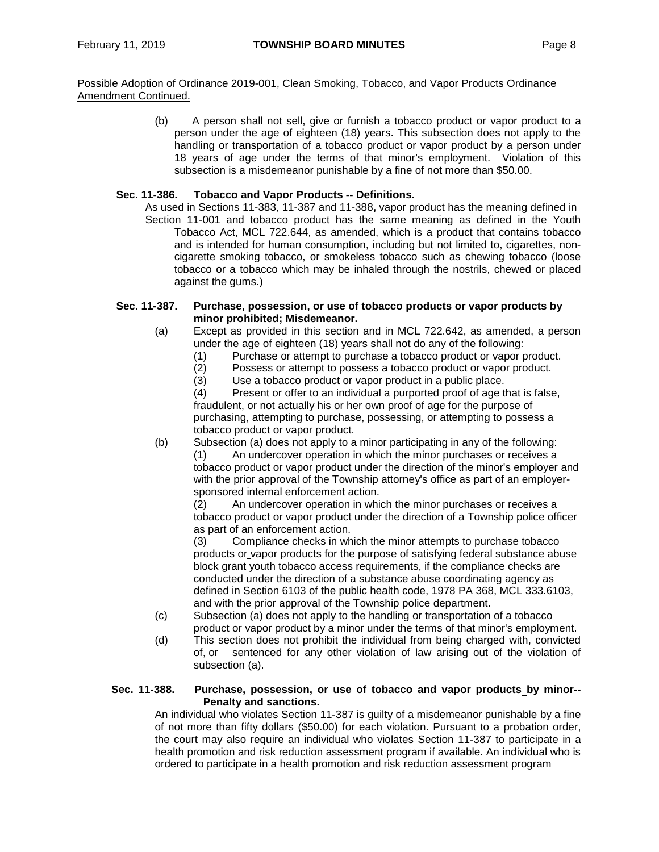> (b) A person shall not sell, give or furnish a tobacco product or vapor product to a person under the age of eighteen (18) years. This subsection does not apply to the handling or transportation of a tobacco product or vapor product by a person under 18 years of age under the terms of that minor's employment. Violation of this subsection is a misdemeanor punishable by a fine of not more than \$50.00.

#### **Sec. 11-386. Tobacco and Vapor Products -- Definitions.**

As used in Sections 11-383, 11-387 and 11-388**,** vapor product has the meaning defined in Section 11-001 and tobacco product has the same meaning as defined in the Youth Tobacco Act, MCL 722.644, as amended, which is a product that contains tobacco and is intended for human consumption, including but not limited to, cigarettes, noncigarette smoking tobacco, or smokeless tobacco such as chewing tobacco (loose tobacco or a tobacco which may be inhaled through the nostrils, chewed or placed against the gums.)

#### **Sec. 11-387. Purchase, possession, or use of tobacco products or vapor products by minor prohibited; Misdemeanor.**

- (a) Except as provided in this section and in MCL 722.642, as amended, a person under the age of eighteen (18) years shall not do any of the following:
	- (1) Purchase or attempt to purchase a tobacco product or vapor product.
	- $(2)$  Possess or attempt to possess a tobacco product or vapor product.<br> $(3)$  Use a tobacco product or vapor product in a public place.
		- Use a tobacco product or vapor product in a public place.

(4) Present or offer to an individual a purported proof of age that is false, fraudulent, or not actually his or her own proof of age for the purpose of purchasing, attempting to purchase, possessing, or attempting to possess a tobacco product or vapor product.

(b) Subsection (a) does not apply to a minor participating in any of the following:

An undercover operation in which the minor purchases or receives a tobacco product or vapor product under the direction of the minor's employer and with the prior approval of the Township attorney's office as part of an employersponsored internal enforcement action.

(2) An undercover operation in which the minor purchases or receives a tobacco product or vapor product under the direction of a Township police officer as part of an enforcement action.

(3) Compliance checks in which the minor attempts to purchase tobacco products or vapor products for the purpose of satisfying federal substance abuse block grant youth tobacco access requirements, if the compliance checks are conducted under the direction of a substance abuse coordinating agency as defined in Section 6103 of the public health code, 1978 PA 368, MCL 333.6103, and with the prior approval of the Township police department.

- (c) Subsection (a) does not apply to the handling or transportation of a tobacco product or vapor product by a minor under the terms of that minor's employment.
- (d) This section does not prohibit the individual from being charged with, convicted of, or sentenced for any other violation of law arising out of the violation of subsection (a).

#### **Sec. 11-388. Purchase, possession, or use of tobacco and vapor products by minor-- Penalty and sanctions.**

An individual who violates Section 11-387 is guilty of a misdemeanor punishable by a fine of not more than fifty dollars (\$50.00) for each violation. Pursuant to a probation order, the court may also require an individual who violates Section 11-387 to participate in a health promotion and risk reduction assessment program if available. An individual who is ordered to participate in a health promotion and risk reduction assessment program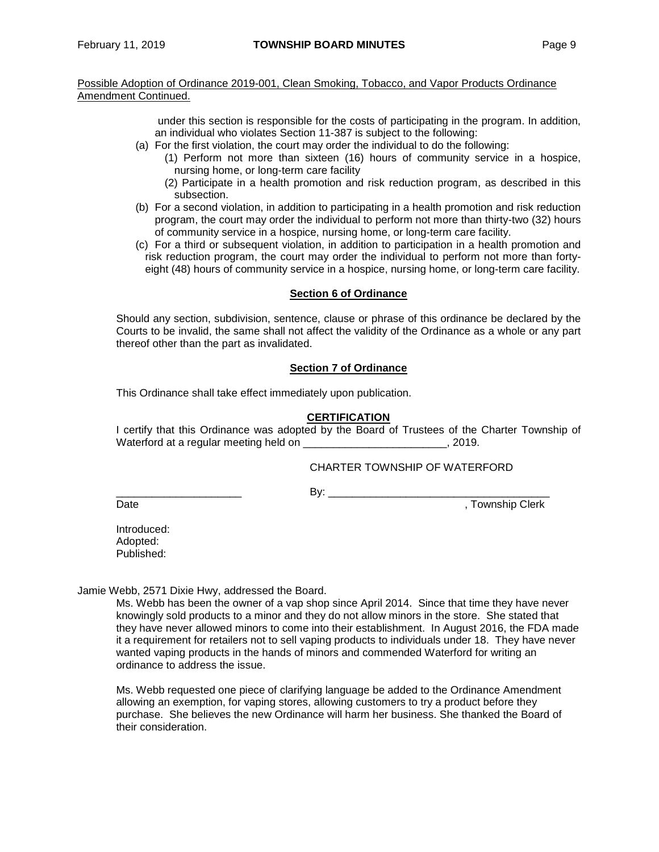> under this section is responsible for the costs of participating in the program. In addition, an individual who violates Section 11-387 is subject to the following:

- (a) For the first violation, the court may order the individual to do the following:
	- (1) Perform not more than sixteen (16) hours of community service in a hospice, nursing home, or long-term care facility
	- (2) Participate in a health promotion and risk reduction program, as described in this subsection.
- (b) For a second violation, in addition to participating in a health promotion and risk reduction program, the court may order the individual to perform not more than thirty-two (32) hours of community service in a hospice, nursing home, or long-term care facility.
- (c) For a third or subsequent violation, in addition to participation in a health promotion and risk reduction program, the court may order the individual to perform not more than fortyeight (48) hours of community service in a hospice, nursing home, or long-term care facility.

#### **Section 6 of Ordinance**

Should any section, subdivision, sentence, clause or phrase of this ordinance be declared by the Courts to be invalid, the same shall not affect the validity of the Ordinance as a whole or any part thereof other than the part as invalidated.

#### **Section 7 of Ordinance**

This Ordinance shall take effect immediately upon publication.

#### **CERTIFICATION**

I certify that this Ordinance was adopted by the Board of Trustees of the Charter Township of Waterford at a regular meeting held on  $\blacksquare$ , 2019.

#### CHARTER TOWNSHIP OF WATERFORD

 $\mathsf{B} \mathsf{v}$ :

Date **Date** , Township Clerk

Introduced: Adopted: Published:

Jamie Webb, 2571 Dixie Hwy, addressed the Board.

Ms. Webb has been the owner of a vap shop since April 2014. Since that time they have never knowingly sold products to a minor and they do not allow minors in the store. She stated that they have never allowed minors to come into their establishment. In August 2016, the FDA made it a requirement for retailers not to sell vaping products to individuals under 18. They have never wanted vaping products in the hands of minors and commended Waterford for writing an ordinance to address the issue.

Ms. Webb requested one piece of clarifying language be added to the Ordinance Amendment allowing an exemption, for vaping stores, allowing customers to try a product before they purchase. She believes the new Ordinance will harm her business. She thanked the Board of their consideration.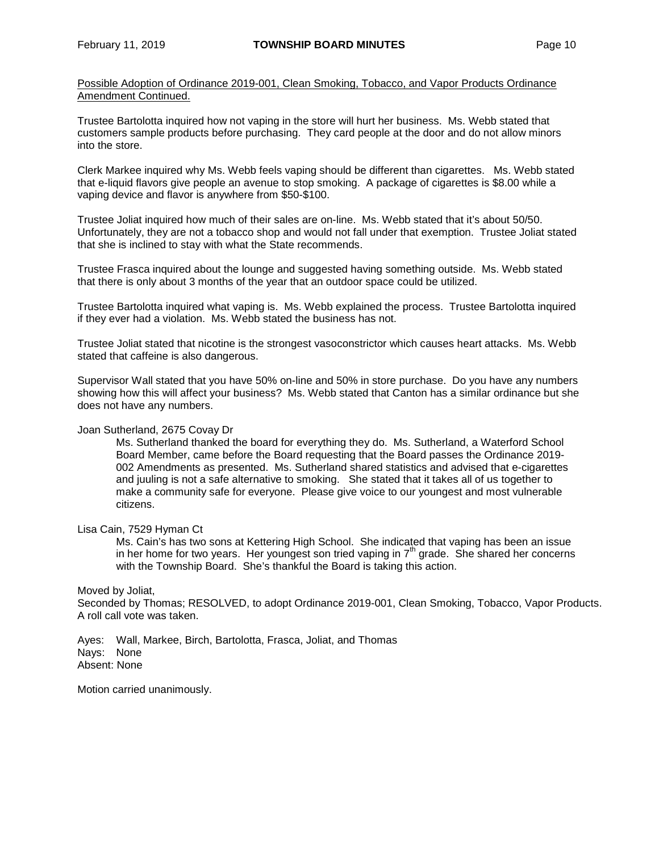Trustee Bartolotta inquired how not vaping in the store will hurt her business. Ms. Webb stated that customers sample products before purchasing. They card people at the door and do not allow minors into the store.

Clerk Markee inquired why Ms. Webb feels vaping should be different than cigarettes. Ms. Webb stated that e-liquid flavors give people an avenue to stop smoking. A package of cigarettes is \$8.00 while a vaping device and flavor is anywhere from \$50-\$100.

Trustee Joliat inquired how much of their sales are on-line. Ms. Webb stated that it's about 50/50. Unfortunately, they are not a tobacco shop and would not fall under that exemption. Trustee Joliat stated that she is inclined to stay with what the State recommends.

Trustee Frasca inquired about the lounge and suggested having something outside. Ms. Webb stated that there is only about 3 months of the year that an outdoor space could be utilized.

Trustee Bartolotta inquired what vaping is. Ms. Webb explained the process. Trustee Bartolotta inquired if they ever had a violation. Ms. Webb stated the business has not.

Trustee Joliat stated that nicotine is the strongest vasoconstrictor which causes heart attacks. Ms. Webb stated that caffeine is also dangerous.

Supervisor Wall stated that you have 50% on-line and 50% in store purchase. Do you have any numbers showing how this will affect your business? Ms. Webb stated that Canton has a similar ordinance but she does not have any numbers.

#### Joan Sutherland, 2675 Covay Dr

Ms. Sutherland thanked the board for everything they do. Ms. Sutherland, a Waterford School Board Member, came before the Board requesting that the Board passes the Ordinance 2019- 002 Amendments as presented. Ms. Sutherland shared statistics and advised that e-cigarettes and juuling is not a safe alternative to smoking. She stated that it takes all of us together to make a community safe for everyone. Please give voice to our youngest and most vulnerable citizens.

Lisa Cain, 7529 Hyman Ct

Ms. Cain's has two sons at Kettering High School. She indicated that vaping has been an issue in her home for two years. Her youngest son tried vaping in  $7<sup>th</sup>$  grade. She shared her concerns with the Township Board. She's thankful the Board is taking this action.

Moved by Joliat,

Seconded by Thomas; RESOLVED, to adopt Ordinance 2019-001, Clean Smoking, Tobacco, Vapor Products. A roll call vote was taken.

Ayes: Wall, Markee, Birch, Bartolotta, Frasca, Joliat, and Thomas Nays: None Absent: None

Motion carried unanimously.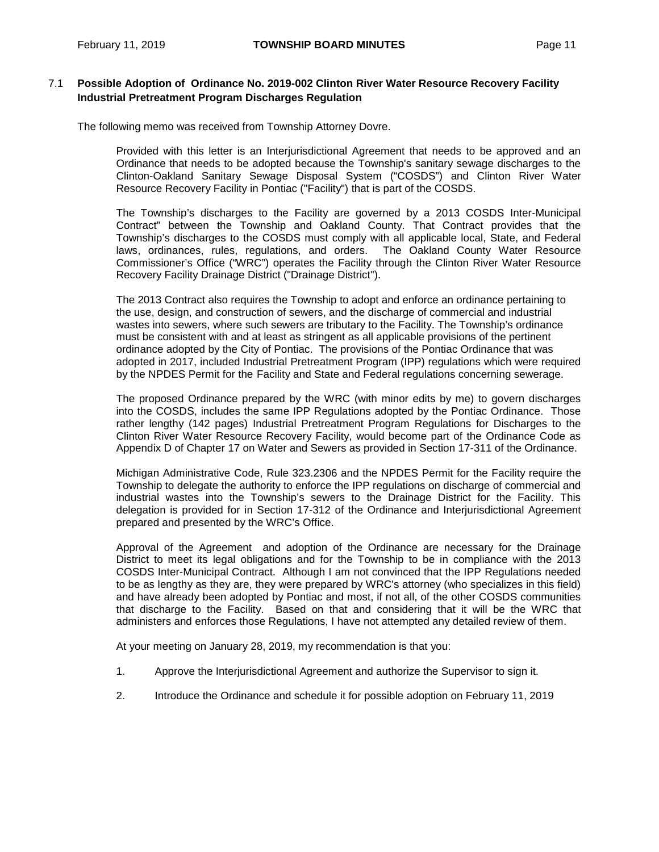## 7.1 **Possible Adoption of Ordinance No. 2019-002 Clinton River Water Resource Recovery Facility Industrial Pretreatment Program Discharges Regulation**

The following memo was received from Township Attorney Dovre.

Provided with this letter is an Interjurisdictional Agreement that needs to be approved and an Ordinance that needs to be adopted because the Township's sanitary sewage discharges to the Clinton-Oakland Sanitary Sewage Disposal System ("COSDS") and Clinton River Water Resource Recovery Facility in Pontiac ("Facility") that is part of the COSDS.

The Township's discharges to the Facility are governed by a 2013 COSDS Inter-Municipal Contract" between the Township and Oakland County. That Contract provides that the Township's discharges to the COSDS must comply with all applicable local, State, and Federal laws, ordinances, rules, regulations, and orders. The Oakland County Water Resource Commissioner's Office ("WRC") operates the Facility through the Clinton River Water Resource Recovery Facility Drainage District ("Drainage District").

The 2013 Contract also requires the Township to adopt and enforce an ordinance pertaining to the use, design, and construction of sewers, and the discharge of commercial and industrial wastes into sewers, where such sewers are tributary to the Facility. The Township's ordinance must be consistent with and at least as stringent as all applicable provisions of the pertinent ordinance adopted by the City of Pontiac. The provisions of the Pontiac Ordinance that was adopted in 2017, included Industrial Pretreatment Program (IPP) regulations which were required by the NPDES Permit for the Facility and State and Federal regulations concerning sewerage.

The proposed Ordinance prepared by the WRC (with minor edits by me) to govern discharges into the COSDS, includes the same IPP Regulations adopted by the Pontiac Ordinance. Those rather lengthy (142 pages) Industrial Pretreatment Program Regulations for Discharges to the Clinton River Water Resource Recovery Facility, would become part of the Ordinance Code as Appendix D of Chapter 17 on Water and Sewers as provided in Section 17-311 of the Ordinance.

Michigan Administrative Code, Rule 323.2306 and the NPDES Permit for the Facility require the Township to delegate the authority to enforce the IPP regulations on discharge of commercial and industrial wastes into the Township's sewers to the Drainage District for the Facility. This delegation is provided for in Section 17-312 of the Ordinance and Interjurisdictional Agreement prepared and presented by the WRC's Office.

Approval of the Agreement and adoption of the Ordinance are necessary for the Drainage District to meet its legal obligations and for the Township to be in compliance with the 2013 COSDS Inter-Municipal Contract. Although I am not convinced that the IPP Regulations needed to be as lengthy as they are, they were prepared by WRC's attorney (who specializes in this field) and have already been adopted by Pontiac and most, if not all, of the other COSDS communities that discharge to the Facility. Based on that and considering that it will be the WRC that administers and enforces those Regulations, I have not attempted any detailed review of them.

At your meeting on January 28, 2019, my recommendation is that you:

- 1. Approve the Interjurisdictional Agreement and authorize the Supervisor to sign it.
- 2. Introduce the Ordinance and schedule it for possible adoption on February 11, 2019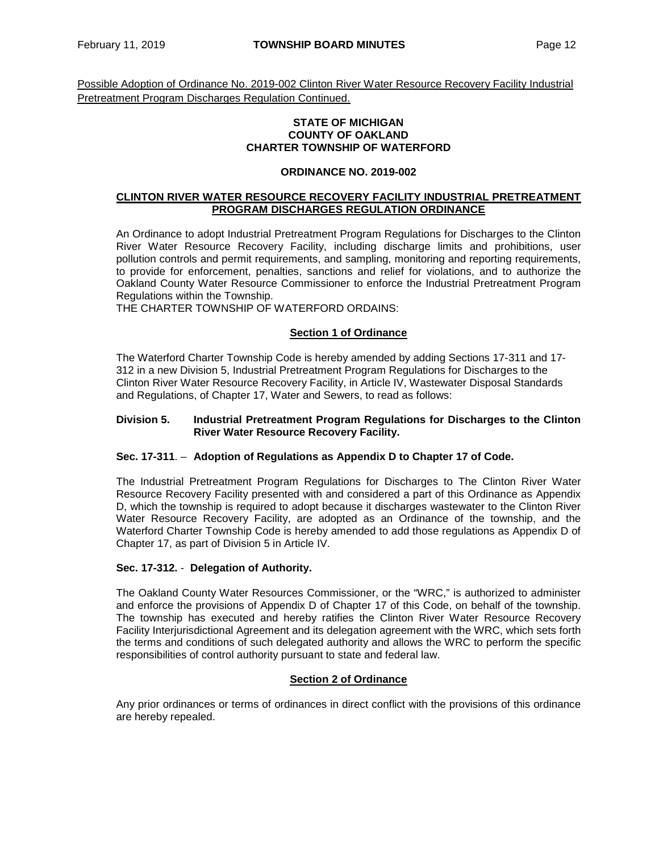Possible Adoption of Ordinance No. 2019-002 Clinton River Water Resource Recovery Facility Industrial Pretreatment Program Discharges Regulation Continued.

#### **STATE OF MICHIGAN COUNTY OF OAKLAND CHARTER TOWNSHIP OF WATERFORD**

#### **ORDINANCE NO. 2019-002**

#### **CLINTON RIVER WATER RESOURCE RECOVERY FACILITY INDUSTRIAL PRETREATMENT PROGRAM DISCHARGES REGULATION ORDINANCE**

An Ordinance to adopt Industrial Pretreatment Program Regulations for Discharges to the Clinton River Water Resource Recovery Facility, including discharge limits and prohibitions, user pollution controls and permit requirements, and sampling, monitoring and reporting requirements, to provide for enforcement, penalties, sanctions and relief for violations, and to authorize the Oakland County Water Resource Commissioner to enforce the Industrial Pretreatment Program Regulations within the Township.

THE CHARTER TOWNSHIP OF WATERFORD ORDAINS:

#### **Section 1 of Ordinance**

The Waterford Charter Township Code is hereby amended by adding Sections 17-311 and 17- 312 in a new Division 5, Industrial Pretreatment Program Regulations for Discharges to the Clinton River Water Resource Recovery Facility, in Article IV, Wastewater Disposal Standards and Regulations, of Chapter 17, Water and Sewers, to read as follows:

#### **Division 5. Industrial Pretreatment Program Regulations for Discharges to the Clinton River Water Resource Recovery Facility.**

#### **Sec. 17-311**. – **Adoption of Regulations as Appendix D to Chapter 17 of Code.**

The Industrial Pretreatment Program Regulations for Discharges to The Clinton River Water Resource Recovery Facility presented with and considered a part of this Ordinance as Appendix D, which the township is required to adopt because it discharges wastewater to the Clinton River Water Resource Recovery Facility, are adopted as an Ordinance of the township, and the Waterford Charter Township Code is hereby amended to add those regulations as Appendix D of Chapter 17, as part of Division 5 in Article IV.

#### **Sec. 17-312.** - **Delegation of Authority.**

The Oakland County Water Resources Commissioner, or the "WRC," is authorized to administer and enforce the provisions of Appendix D of Chapter 17 of this Code, on behalf of the township. The township has executed and hereby ratifies the Clinton River Water Resource Recovery Facility Interjurisdictional Agreement and its delegation agreement with the WRC, which sets forth the terms and conditions of such delegated authority and allows the WRC to perform the specific responsibilities of control authority pursuant to state and federal law.

#### **Section 2 of Ordinance**

Any prior ordinances or terms of ordinances in direct conflict with the provisions of this ordinance are hereby repealed.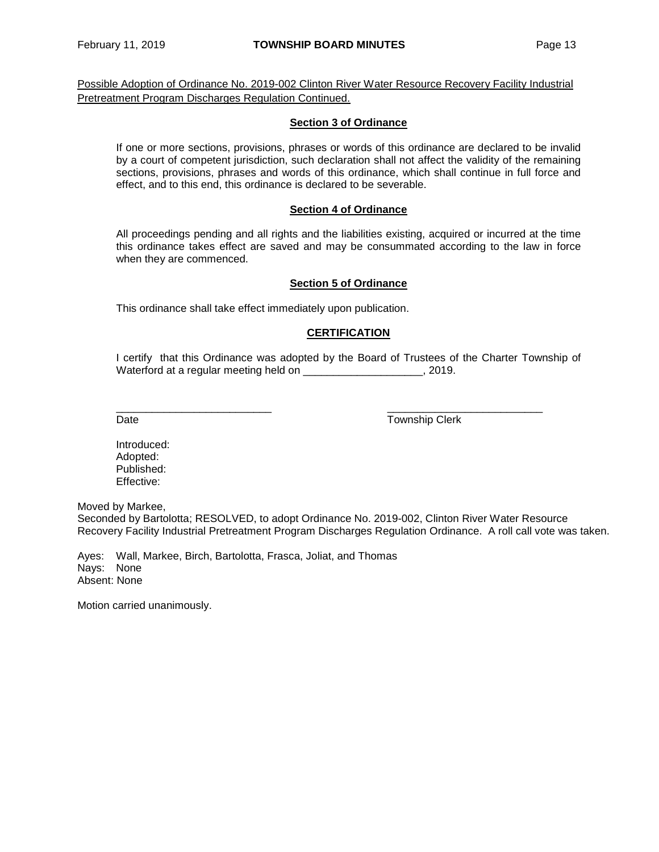Possible Adoption of Ordinance No. 2019-002 Clinton River Water Resource Recovery Facility Industrial Pretreatment Program Discharges Regulation Continued.

#### **Section 3 of Ordinance**

If one or more sections, provisions, phrases or words of this ordinance are declared to be invalid by a court of competent jurisdiction, such declaration shall not affect the validity of the remaining sections, provisions, phrases and words of this ordinance, which shall continue in full force and effect, and to this end, this ordinance is declared to be severable.

#### **Section 4 of Ordinance**

All proceedings pending and all rights and the liabilities existing, acquired or incurred at the time this ordinance takes effect are saved and may be consummated according to the law in force when they are commenced.

#### **Section 5 of Ordinance**

This ordinance shall take effect immediately upon publication.

#### **CERTIFICATION**

I certify that this Ordinance was adopted by the Board of Trustees of the Charter Township of Waterford at a regular meeting held on \_\_\_\_\_\_\_\_\_\_\_\_\_\_\_\_\_\_\_\_\_\_\_, 2019.

\_\_\_\_\_\_\_\_\_\_\_\_\_\_\_\_\_\_\_\_\_\_\_\_\_\_ \_\_\_\_\_\_\_\_\_\_\_\_\_\_\_\_\_\_\_\_\_\_\_\_\_\_ Date **Date** Township Clerk

Introduced: Adopted: Published: Effective:

Moved by Markee,

Seconded by Bartolotta; RESOLVED, to adopt Ordinance No. 2019-002, Clinton River Water Resource Recovery Facility Industrial Pretreatment Program Discharges Regulation Ordinance. A roll call vote was taken.

Ayes: Wall, Markee, Birch, Bartolotta, Frasca, Joliat, and Thomas Nays: None Absent: None

Motion carried unanimously.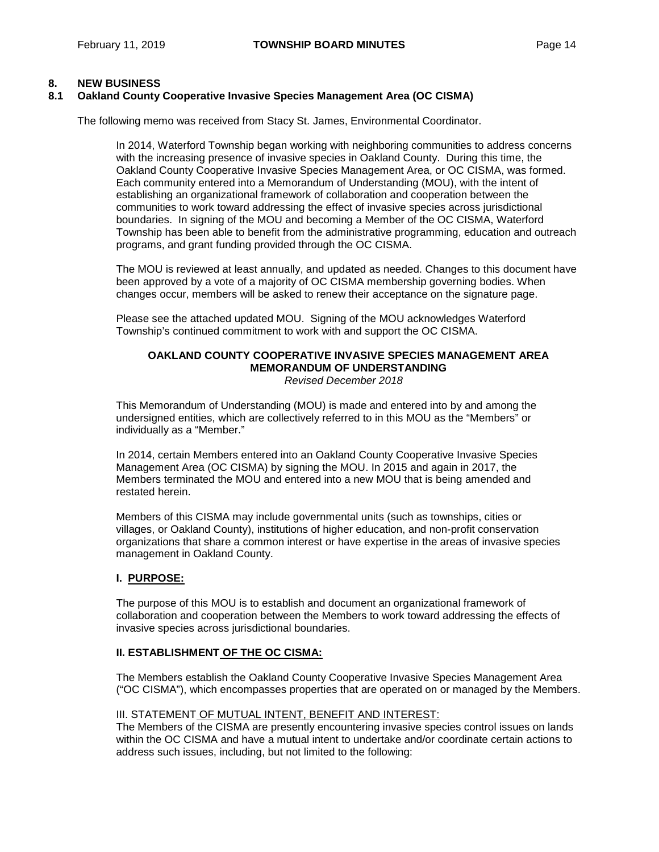#### **8. NEW BUSINESS**

#### **8.1 Oakland County Cooperative Invasive Species Management Area (OC CISMA)**

The following memo was received from Stacy St. James, Environmental Coordinator.

In 2014, Waterford Township began working with neighboring communities to address concerns with the increasing presence of invasive species in Oakland County. During this time, the Oakland County Cooperative Invasive Species Management Area, or OC CISMA, was formed. Each community entered into a Memorandum of Understanding (MOU), with the intent of establishing an organizational framework of collaboration and cooperation between the communities to work toward addressing the effect of invasive species across jurisdictional boundaries. In signing of the MOU and becoming a Member of the OC CISMA, Waterford Township has been able to benefit from the administrative programming, education and outreach programs, and grant funding provided through the OC CISMA.

The MOU is reviewed at least annually, and updated as needed. Changes to this document have been approved by a vote of a majority of OC CISMA membership governing bodies. When changes occur, members will be asked to renew their acceptance on the signature page.

Please see the attached updated MOU. Signing of the MOU acknowledges Waterford Township's continued commitment to work with and support the OC CISMA.

#### **OAKLAND COUNTY COOPERATIVE INVASIVE SPECIES MANAGEMENT AREA MEMORANDUM OF UNDERSTANDING** *Revised December 2018*

This Memorandum of Understanding (MOU) is made and entered into by and among the undersigned entities, which are collectively referred to in this MOU as the "Members" or individually as a "Member."

In 2014, certain Members entered into an Oakland County Cooperative Invasive Species Management Area (OC CISMA) by signing the MOU. In 2015 and again in 2017, the Members terminated the MOU and entered into a new MOU that is being amended and restated herein.

Members of this CISMA may include governmental units (such as townships, cities or villages, or Oakland County), institutions of higher education, and non-profit conservation organizations that share a common interest or have expertise in the areas of invasive species management in Oakland County.

#### **I. PURPOSE:**

The purpose of this MOU is to establish and document an organizational framework of collaboration and cooperation between the Members to work toward addressing the effects of invasive species across jurisdictional boundaries.

#### **II. ESTABLISHMENT OF THE OC CISMA:**

The Members establish the Oakland County Cooperative Invasive Species Management Area ("OC CISMA"), which encompasses properties that are operated on or managed by the Members.

#### III. STATEMENT OF MUTUAL INTENT, BENEFIT AND INTEREST:

The Members of the CISMA are presently encountering invasive species control issues on lands within the OC CISMA and have a mutual intent to undertake and/or coordinate certain actions to address such issues, including, but not limited to the following: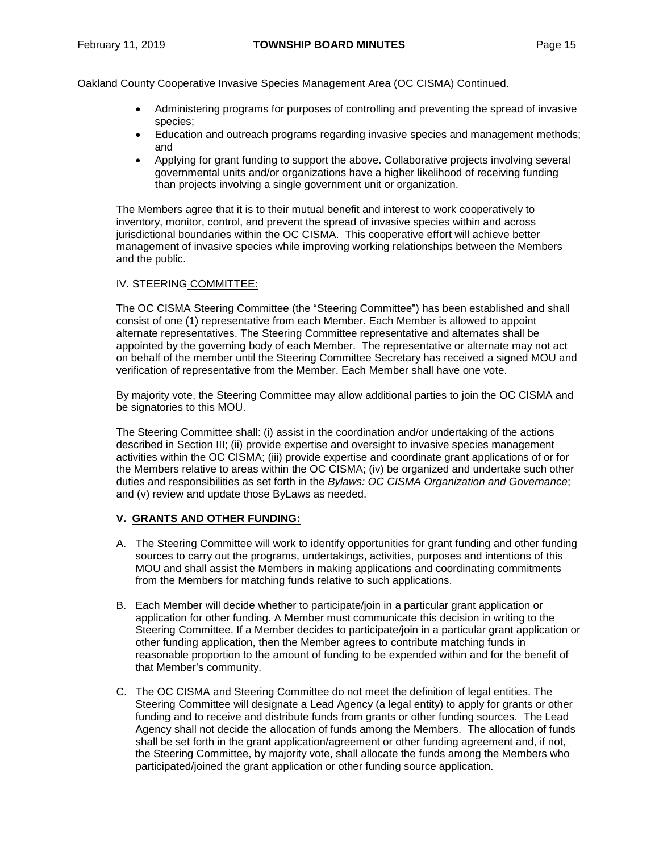- Administering programs for purposes of controlling and preventing the spread of invasive species;
- Education and outreach programs regarding invasive species and management methods; and
- Applying for grant funding to support the above. Collaborative projects involving several governmental units and/or organizations have a higher likelihood of receiving funding than projects involving a single government unit or organization.

The Members agree that it is to their mutual benefit and interest to work cooperatively to inventory, monitor, control, and prevent the spread of invasive species within and across jurisdictional boundaries within the OC CISMA. This cooperative effort will achieve better management of invasive species while improving working relationships between the Members and the public.

#### IV. STEERING COMMITTEE:

The OC CISMA Steering Committee (the "Steering Committee") has been established and shall consist of one (1) representative from each Member. Each Member is allowed to appoint alternate representatives. The Steering Committee representative and alternates shall be appointed by the governing body of each Member. The representative or alternate may not act on behalf of the member until the Steering Committee Secretary has received a signed MOU and verification of representative from the Member. Each Member shall have one vote.

By majority vote, the Steering Committee may allow additional parties to join the OC CISMA and be signatories to this MOU.

The Steering Committee shall: (i) assist in the coordination and/or undertaking of the actions described in Section III; (ii) provide expertise and oversight to invasive species management activities within the OC CISMA; (iii) provide expertise and coordinate grant applications of or for the Members relative to areas within the OC CISMA; (iv) be organized and undertake such other duties and responsibilities as set forth in the *Bylaws: OC CISMA Organization and Governance*; and (v) review and update those ByLaws as needed.

#### **V. GRANTS AND OTHER FUNDING:**

- A. The Steering Committee will work to identify opportunities for grant funding and other funding sources to carry out the programs, undertakings, activities, purposes and intentions of this MOU and shall assist the Members in making applications and coordinating commitments from the Members for matching funds relative to such applications.
- B. Each Member will decide whether to participate/join in a particular grant application or application for other funding. A Member must communicate this decision in writing to the Steering Committee. If a Member decides to participate/join in a particular grant application or other funding application, then the Member agrees to contribute matching funds in reasonable proportion to the amount of funding to be expended within and for the benefit of that Member's community.
- C. The OC CISMA and Steering Committee do not meet the definition of legal entities. The Steering Committee will designate a Lead Agency (a legal entity) to apply for grants or other funding and to receive and distribute funds from grants or other funding sources. The Lead Agency shall not decide the allocation of funds among the Members. The allocation of funds shall be set forth in the grant application/agreement or other funding agreement and, if not, the Steering Committee, by majority vote, shall allocate the funds among the Members who participated/joined the grant application or other funding source application.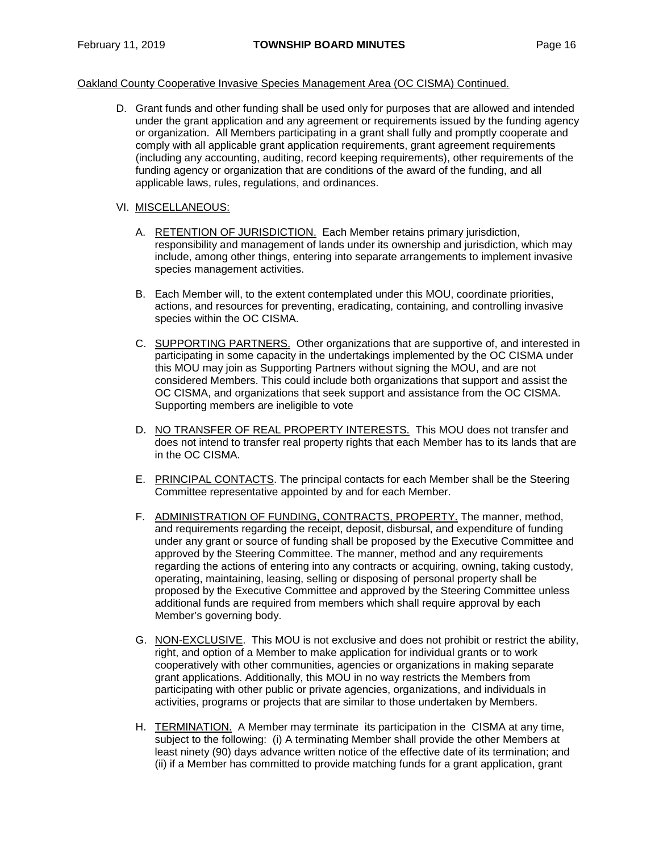D. Grant funds and other funding shall be used only for purposes that are allowed and intended under the grant application and any agreement or requirements issued by the funding agency or organization. All Members participating in a grant shall fully and promptly cooperate and comply with all applicable grant application requirements, grant agreement requirements (including any accounting, auditing, record keeping requirements), other requirements of the funding agency or organization that are conditions of the award of the funding, and all applicable laws, rules, regulations, and ordinances.

#### VI. MISCELLANEOUS:

- A. RETENTION OF JURISDICTION. Each Member retains primary jurisdiction, responsibility and management of lands under its ownership and jurisdiction, which may include, among other things, entering into separate arrangements to implement invasive species management activities.
- B. Each Member will, to the extent contemplated under this MOU, coordinate priorities, actions, and resources for preventing, eradicating, containing, and controlling invasive species within the OC CISMA.
- C. SUPPORTING PARTNERS. Other organizations that are supportive of, and interested in participating in some capacity in the undertakings implemented by the OC CISMA under this MOU may join as Supporting Partners without signing the MOU, and are not considered Members. This could include both organizations that support and assist the OC CISMA, and organizations that seek support and assistance from the OC CISMA. Supporting members are ineligible to vote
- D. NO TRANSFER OF REAL PROPERTY INTERESTS. This MOU does not transfer and does not intend to transfer real property rights that each Member has to its lands that are in the OC CISMA.
- E. PRINCIPAL CONTACTS. The principal contacts for each Member shall be the Steering Committee representative appointed by and for each Member.
- F. ADMINISTRATION OF FUNDING, CONTRACTS, PROPERTY. The manner, method, and requirements regarding the receipt, deposit, disbursal, and expenditure of funding under any grant or source of funding shall be proposed by the Executive Committee and approved by the Steering Committee. The manner, method and any requirements regarding the actions of entering into any contracts or acquiring, owning, taking custody, operating, maintaining, leasing, selling or disposing of personal property shall be proposed by the Executive Committee and approved by the Steering Committee unless additional funds are required from members which shall require approval by each Member's governing body.
- G. NON-EXCLUSIVE. This MOU is not exclusive and does not prohibit or restrict the ability, right, and option of a Member to make application for individual grants or to work cooperatively with other communities, agencies or organizations in making separate grant applications. Additionally, this MOU in no way restricts the Members from participating with other public or private agencies, organizations, and individuals in activities, programs or projects that are similar to those undertaken by Members.
- H. TERMINATION. A Member may terminate its participation in the CISMA at any time, subject to the following: (i) A terminating Member shall provide the other Members at least ninety (90) days advance written notice of the effective date of its termination; and (ii) if a Member has committed to provide matching funds for a grant application, grant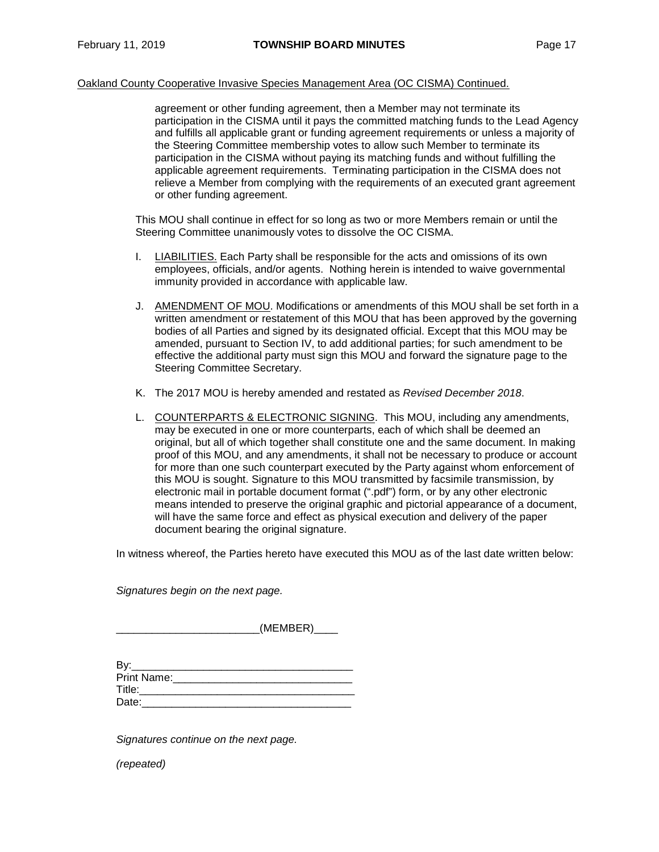agreement or other funding agreement, then a Member may not terminate its participation in the CISMA until it pays the committed matching funds to the Lead Agency and fulfills all applicable grant or funding agreement requirements or unless a majority of the Steering Committee membership votes to allow such Member to terminate its participation in the CISMA without paying its matching funds and without fulfilling the applicable agreement requirements. Terminating participation in the CISMA does not relieve a Member from complying with the requirements of an executed grant agreement or other funding agreement.

This MOU shall continue in effect for so long as two or more Members remain or until the Steering Committee unanimously votes to dissolve the OC CISMA.

- I. LIABILITIES. Each Party shall be responsible for the acts and omissions of its own employees, officials, and/or agents. Nothing herein is intended to waive governmental immunity provided in accordance with applicable law.
- J. AMENDMENT OF MOU. Modifications or amendments of this MOU shall be set forth in a written amendment or restatement of this MOU that has been approved by the governing bodies of all Parties and signed by its designated official. Except that this MOU may be amended, pursuant to Section IV, to add additional parties; for such amendment to be effective the additional party must sign this MOU and forward the signature page to the Steering Committee Secretary.
- K. The 2017 MOU is hereby amended and restated as *Revised December 2018*.
- L. COUNTERPARTS & ELECTRONIC SIGNING. This MOU, including any amendments, may be executed in one or more counterparts, each of which shall be deemed an original, but all of which together shall constitute one and the same document. In making proof of this MOU, and any amendments, it shall not be necessary to produce or account for more than one such counterpart executed by the Party against whom enforcement of this MOU is sought. Signature to this MOU transmitted by facsimile transmission, by electronic mail in portable document format (".pdf") form, or by any other electronic means intended to preserve the original graphic and pictorial appearance of a document, will have the same force and effect as physical execution and delivery of the paper document bearing the original signature.

In witness whereof, the Parties hereto have executed this MOU as of the last date written below:

*Signatures begin on the next page.*

 $(MEMBER)$ 

| Bv:         |  |
|-------------|--|
| Print Name: |  |
| Title:      |  |
| Date:       |  |

*Signatures continue on the next page.*

*(repeated)*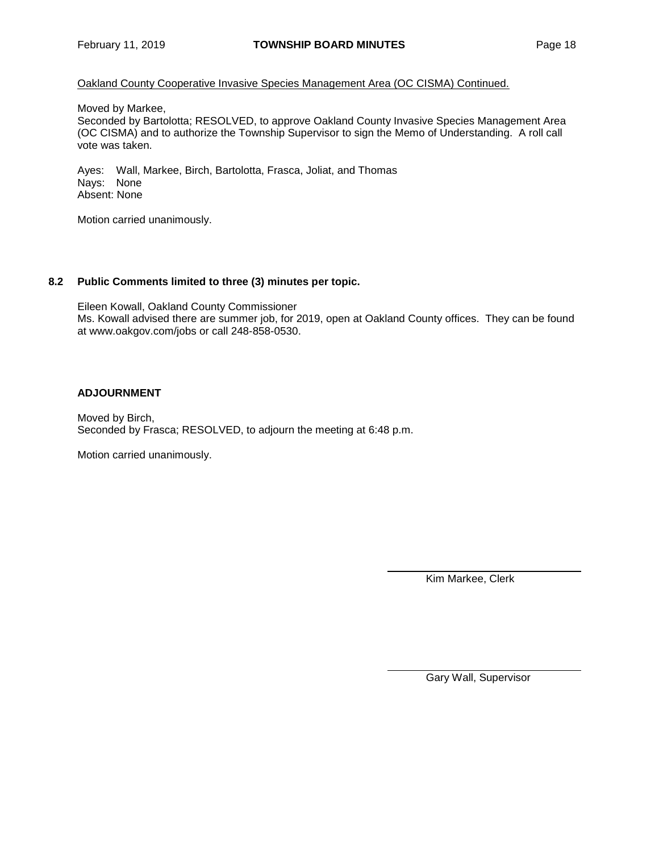Moved by Markee,

Seconded by Bartolotta; RESOLVED, to approve Oakland County Invasive Species Management Area (OC CISMA) and to authorize the Township Supervisor to sign the Memo of Understanding. A roll call vote was taken.

Ayes: Wall, Markee, Birch, Bartolotta, Frasca, Joliat, and Thomas Nays: None Absent: None

Motion carried unanimously.

#### **8.2 Public Comments limited to three (3) minutes per topic.**

Eileen Kowall, Oakland County Commissioner Ms. Kowall advised there are summer job, for 2019, open at Oakland County offices. They can be found at [www.oakgov.com/jobs](http://www.oakgov.com/jobs) or call 248-858-0530.

#### **ADJOURNMENT**

Moved by Birch, Seconded by Frasca; RESOLVED, to adjourn the meeting at 6:48 p.m.

Motion carried unanimously.

Kim Markee, Clerk

Gary Wall, Supervisor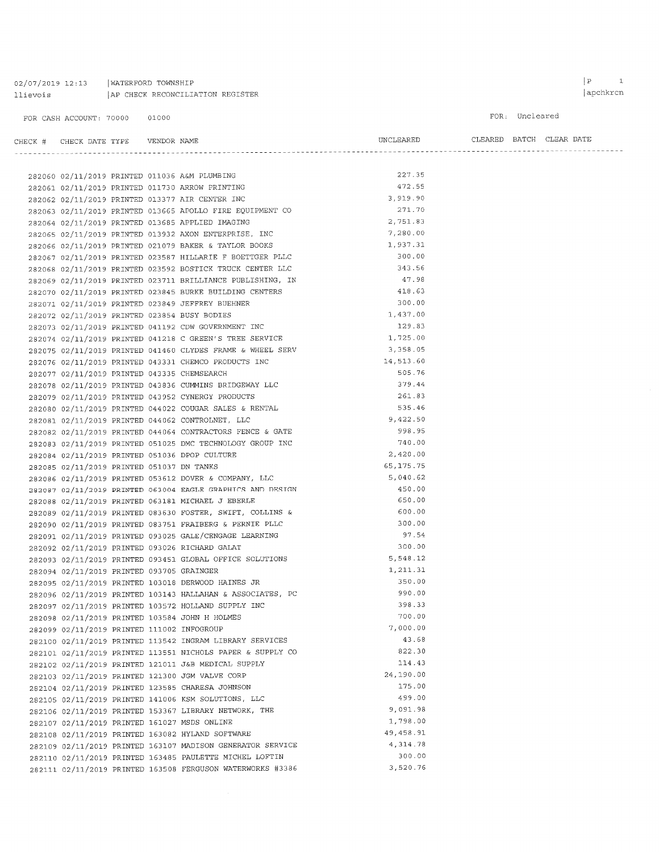02/07/2019 12:13 | WATERFORD TOWNSHIP llievois | AP CHECK RECONCILIATION REGISTER

#### FOR: Uncleared

# $\begin{tabular}{lllllll} \bf{CHECK} & \tt{HERCK} & \tt{DATE} & \tt{YPE} & & \tt{VENDOR} & \tt{NAME} \end{tabular}$

 $\begin{minipage}{0.9\linewidth} \textbf{ULEARED} & \textbf{EATCH} & \textbf{CLEAR} & \textbf{DATE} \end{minipage}$ 

|                                             |  |                                                                                                                        | 227.35     |
|---------------------------------------------|--|------------------------------------------------------------------------------------------------------------------------|------------|
|                                             |  | 282060 02/11/2019 PRINTED 011036 A&M PLUMBING                                                                          | 472.55     |
|                                             |  | 282061 02/11/2019 PRINTED 011730 ARROW PRINTING                                                                        | 3,919.90   |
|                                             |  | 282062 02/11/2019 PRINTED 013377 AIR CENTER INC                                                                        | 271.70     |
|                                             |  | 282063 02/11/2019 PRINTED 013665 APOLLO FIRE EQUIPMENT CO                                                              | 2,751.83   |
|                                             |  | 282064 02/11/2019 PRINTED 013685 APPLIED IMAGING                                                                       | 7,280.00   |
|                                             |  | 282065 02/11/2019 PRINTED 013932 AXON ENTERPRISE, INC<br>282066 02/11/2019 PRINTED 021079 BAKER & TAYLOR BOOKS         | 1,937.31   |
|                                             |  |                                                                                                                        | 300.00     |
|                                             |  | 282067 02/11/2019 PRINTED 023587 HILLARIE F BOETTGER PLLC<br>282068 02/11/2019 PRINTED 023592 BOSTICK TRUCK CENTER LLC | 343.56     |
|                                             |  | 282069 02/11/2019 PRINTED 023711 BRILLIANCE PUBLISHING, IN                                                             | 47.98      |
|                                             |  | 282070 02/11/2019 PRINTED 023845 BURKE BUILDING CENTERS                                                                | 418.63     |
|                                             |  | 282071 02/11/2019 PRINTED 023849 JEFFREY BUEHNER                                                                       | 300.00     |
|                                             |  | 282072 02/11/2019 PRINTED 023854 BUSY BODIES                                                                           | 1,437.00   |
|                                             |  | 282073 02/11/2019 PRINTED 041192 CDW GOVERNMENT INC                                                                    | 129.83     |
|                                             |  | 282074 02/11/2019 PRINTED 041218 C GREEN'S TREE SERVICE                                                                | 1,725.00   |
|                                             |  |                                                                                                                        | 3,358.05   |
|                                             |  | 282075 02/11/2019 PRINTED 041460 CLYDES FRAME & WHEEL SERV<br>282076 02/11/2019 PRINTED 043331 CHEMCO PRODUCTS INC     | 14,513.60  |
|                                             |  |                                                                                                                        | 505.76     |
| 282077 02/11/2019 PRINTED 043335 CHEMSEARCH |  | 282078 02/11/2019 PRINTED 043836 CUMMINS BRIDGEWAY LLC                                                                 | 379.44     |
|                                             |  |                                                                                                                        | 261.83     |
|                                             |  | 282079 02/11/2019 PRINTED 043952 CYNERGY PRODUCTS                                                                      | 535.46     |
|                                             |  | 282080 02/11/2019 PRINTED 044022 COUGAR SALES & RENTAL<br>282081 02/11/2019 PRINTED 044062 CONTROLNET, LLC             | 9,422.50   |
|                                             |  |                                                                                                                        | 998.95     |
|                                             |  | 282082 02/11/2019 PRINTED 044064 CONTRACTORS FENCE & GATE                                                              | 740.00     |
|                                             |  | 282083 02/11/2019 PRINTED 051025 DMC TECHNOLOGY GROUP INC<br>282084 02/11/2019 PRINTED 051036 DPOP CULTURE             | 2,420.00   |
|                                             |  |                                                                                                                        | 65, 175.75 |
| 282085 02/11/2019 PRINTED 051037 DN TANKS   |  | 282086 02/11/2019 PRINTED 053612 DOVER & COMPANY, LLC                                                                  | 5,040.62   |
|                                             |  | 282087 02/11/2019 PRINTED 063004 EAGLE GRAPHICS AND DESIGN                                                             | 450.00     |
|                                             |  |                                                                                                                        | 650.00     |
|                                             |  | 282088 02/11/2019 PRINTED 063181 MICHAEL J EBERLE<br>282089 02/11/2019 PRINTED 083630 FOSTER, SWIFT, COLLINS &         | 600.00     |
|                                             |  | 282090 02/11/2019 PRINTED 083751 FRAIBERG & PERNIE PLLC                                                                | 300.00     |
|                                             |  | 282091 02/11/2019 PRINTED 093025 GALE/CENGAGE LEARNING                                                                 | 97.54      |
|                                             |  | 282092 02/11/2019 PRINTED 093026 RICHARD GALAT                                                                         | 300.00     |
|                                             |  | 282093 02/11/2019 PRINTED 093451 GLOBAL OFFICE SOLUTIONS                                                               | 5,548.12   |
| 282094 02/11/2019 PRINTED 093705 GRAINGER   |  |                                                                                                                        | 1,211.31   |
|                                             |  | 282095 02/11/2019 PRINTED 103018 DERWOOD HAINES JR                                                                     | 350.00     |
|                                             |  | 282096 02/11/2019 PRINTED 103143 HALLAHAN & ASSOCIATES, PC                                                             | 990.00     |
|                                             |  | 282097 02/11/2019 PRINTED 103572 HOLLAND SUPPLY INC                                                                    | 398.33     |
|                                             |  | 282098 02/11/2019 PRINTED 103584 JOHN H HOLMES                                                                         | 700.00     |
| 282099 02/11/2019 PRINTED 111002 INFOGROUP  |  |                                                                                                                        | 7,000.00   |
|                                             |  | 282100 02/11/2019 PRINTED 113542 INGRAM LIBRARY SERVICES                                                               | 43.68      |
|                                             |  | 282101 02/11/2019 PRINTED 113551 NICHOLS PAPER & SUPPLY CO                                                             | 822.30     |
|                                             |  | 282102 02/11/2019 PRINTED 121011 J&B MEDICAL SUPPLY                                                                    | 114.43     |
|                                             |  | 282103 02/11/2019 PRINTED 121300 JGM VALVE CORP                                                                        | 24,190.00  |
|                                             |  | 282104 02/11/2019 PRINTED 123585 CHARESA JOHNSON                                                                       | 175.00     |
|                                             |  | 282105 02/11/2019 PRINTED 141006 KSM SOLUTIONS, LLC                                                                    | 499.00     |
|                                             |  | 282106 02/11/2019 PRINTED 153367 LIBRARY NETWORK, THE                                                                  | 9,091.98   |
|                                             |  | 282107 02/11/2019 PRINTED 161027 MSDS ONLINE                                                                           | 1,798.00   |
|                                             |  | 282108 02/11/2019 PRINTED 163082 HYLAND SOFTWARE                                                                       | 49,458.91  |
|                                             |  | 282109 02/11/2019 PRINTED 163107 MADISON GENERATOR SERVICE                                                             | 4,314.78   |
|                                             |  | 282110 02/11/2019 PRINTED 163485 PAULETTE MICHEL LOFTIN                                                                | 300.00     |
|                                             |  | 282111 02/11/2019 PRINTED 163508 FERGUSON WATERWORKS #3386                                                             | 3,520.76   |
|                                             |  |                                                                                                                        |            |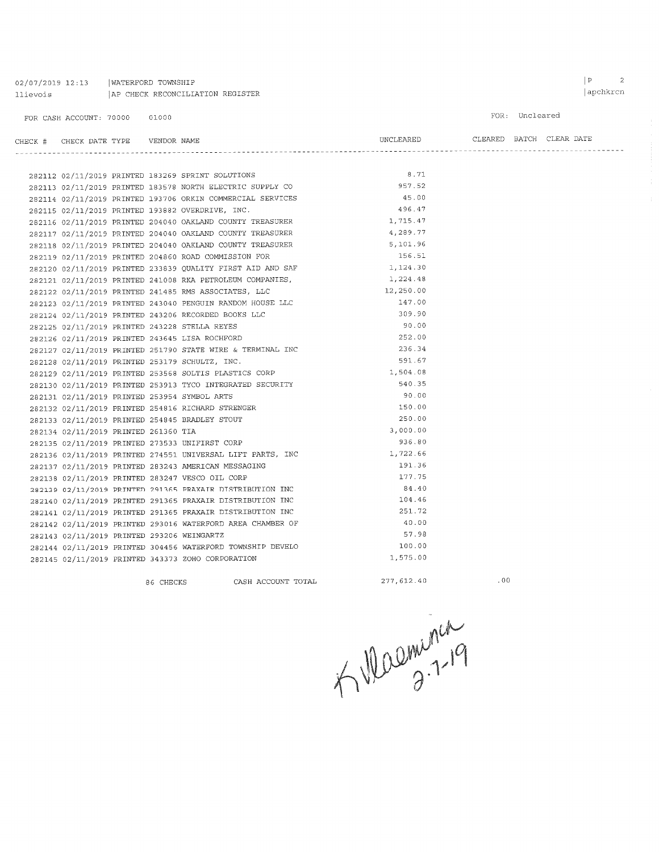| 02/07/2019 12:13 | WATERFORD TOWNSHIP               |
|------------------|----------------------------------|
| llievois         | AP CHECK RECONCILIATION REGISTER |

 $\begin{tabular}{lllllll} \bf{CHECK} & \tt{\#} & \tt{\it{CHECK} \; \tt{DATE} \; \tt{TYPE} & \tt{\tt{\tt{VENDOR} \; \tt{NAME}}} \end{tabular}$ 

|           |                          | FOR: Uncleared |  |
|-----------|--------------------------|----------------|--|
| UNCLEARED | CLEARED BATCH CLEAR DATE |                |  |

|                                                  | 282112 02/11/2019 PRINTED 183269 SPRINT SOLUTIONS          | 8.71       |
|--------------------------------------------------|------------------------------------------------------------|------------|
|                                                  | 282113 02/11/2019 PRINTED 183578 NORTH ELECTRIC SUPPLY CO  | 957.52     |
|                                                  | 282114 02/11/2019 PRINTED 193706 ORKIN COMMERCIAL SERVICES | 45.00      |
| 282115 02/11/2019 PRINTED 193882 OVERDRIVE, INC. |                                                            | 496.47     |
|                                                  | 282116 02/11/2019 PRINTED 204040 OAKLAND COUNTY TREASURER  | 1,715.47   |
|                                                  | 282117 02/11/2019 PRINTED 204040 OAKLAND COUNTY TREASURER  | 4,289.77   |
|                                                  | 282118 02/11/2019 PRINTED 204040 OAKLAND COUNTY TREASURER  | 5,101.96   |
|                                                  | 282119 02/11/2019 PRINTED 204860 ROAD COMMISSION FOR       | 156.51     |
|                                                  | 282120 02/11/2019 PRINTED 233839 QUALITY FIRST AID AND SAF | 1,124.30   |
|                                                  | 282121 02/11/2019 PRINTED 241008 RKA PETROLEUM COMPANIES,  | 1,224.48   |
|                                                  | 282122 02/11/2019 PRINTED 241485 RMS ASSOCIATES, LLC       | 12,250.00  |
|                                                  | 282123 02/11/2019 PRINTED 243040 PENGUIN RANDOM HOUSE LLC  | 147.00     |
|                                                  | 282124 02/11/2019 PRINTED 243206 RECORDED BOOKS LLC        | 309.90     |
| 282125 02/11/2019 PRINTED 243228 STELLA REYES    |                                                            | 90.00      |
| 282126 02/11/2019 PRINTED 243645 LISA ROCHFORD   |                                                            | 252.00     |
|                                                  | 282127 02/11/2019 PRINTED 251790 STATE WIRE & TERMINAL INC | 236.34     |
| 282128 02/11/2019 PRINTED 253179 SCHULTZ, INC.   |                                                            | 591.67     |
|                                                  | 282129 02/11/2019 PRINTED 253568 SOLTIS PLASTICS CORP      | 1,504.08   |
|                                                  | 282130 02/11/2019 PRINTED 253913 TYCO INTEGRATED SECURITY  | 540.35     |
| 282131 02/11/2019 PRINTED 253954 SYMBOL ARTS     |                                                            | 90.00      |
|                                                  | 282132 02/11/2019 PRINTED 254816 RICHARD STRENGER          | 150.00     |
| 282133 02/11/2019 PRINTED 254845 BRADLEY STOUT   |                                                            | 250.00     |
| 282134 02/11/2019 PRINTED 261360 TIA             |                                                            | 3,000.00   |
| 282135 02/11/2019 PRINTED 273533 UNIFIRST CORP   |                                                            | 936.80     |
|                                                  | 282136 02/11/2019 PRINTED 274551 UNIVERSAL LIFT PARTS, INC | 1,722.66   |
|                                                  | 282137 02/11/2019 PRINTED 283243 AMERICAN MESSAGING        | 191.36     |
| 282138 02/11/2019 PRINTED 283247 VESCO OIL CORP  |                                                            | 177.75     |
|                                                  | 282139 02/11/2019 PRINTED 291365 PRAXAIR DISTRIBUTION INC  | 84.40      |
|                                                  | 282140 02/11/2019 PRINTED 291365 PRAXAIR DISTRIBUTION INC  | 104.46     |
|                                                  | 282141 02/11/2019 PRINTED 291365 PRAXAIR DISTRIBUTION INC  | 251.72     |
|                                                  | 282142 02/11/2019 PRINTED 293016 WATERFORD AREA CHAMBER OF | 40.00      |
| 282143 02/11/2019 PRINTED 293206 WEINGARTZ       |                                                            | 57.98      |
|                                                  | 282144 02/11/2019 PRINTED 304456 WATERFORD TOWNSHIP DEVELO | 100.00     |
|                                                  | 282145 02/11/2019 PRINTED 343373 ZOHO CORPORATION          | 1,575.00   |
|                                                  | 86 CHECKS CASH ACCOUNT TOTAL                               | 277,612.40 |
|                                                  |                                                            |            |

 $.00$ 

A Walminian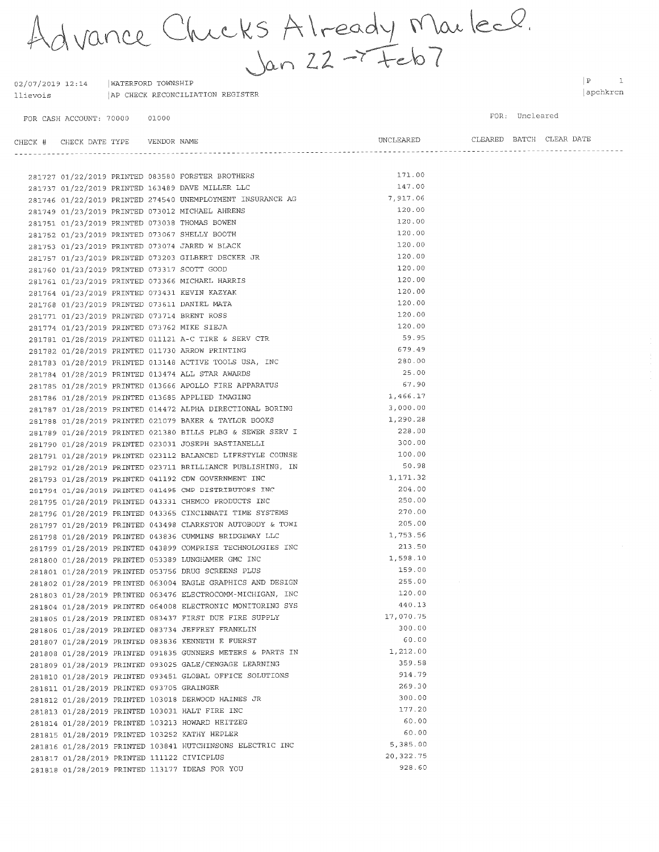Advance Chicks Already Marled.

 $02/07/2019$  12:14 | WATERFORD TOWNSHIP AP CHECK RECONCILIATION REGISTER llievois

FOR CASH ACCOUNT: 70000 01000  $\begin{array}{ccc} \mid \textbf{P} & \hspace{1.6cm} \textbf{1} \end{array}$ apchkrcn

FOR: Uncleared

| CHECK # CHECK DATE TYPE    VENDOR NAME     |  |                                                                                                                                                                                                        | UNCLEARED  |  | CLEARED BATCH CLEAR DATE |  |
|--------------------------------------------|--|--------------------------------------------------------------------------------------------------------------------------------------------------------------------------------------------------------|------------|--|--------------------------|--|
|                                            |  |                                                                                                                                                                                                        |            |  |                          |  |
|                                            |  | 281727 01/22/2019 PRINTED 083580 FORSTER BROTHERS                                                                                                                                                      | 171.00     |  |                          |  |
|                                            |  | 281737 01/22/2019 PRINTED 163489 DAVE MILLER LLC                                                                                                                                                       | 147.00     |  |                          |  |
|                                            |  | 281746 01/22/2019 PRINTED 274540 UNEMPLOYMENT INSURANCE AG                                                                                                                                             | 7,917.06   |  |                          |  |
|                                            |  | 281749 01/23/2019 PRINTED 073012 MICHAEL AHRENS                                                                                                                                                        | 120.00     |  |                          |  |
|                                            |  | 281751 01/23/2019 PRINTED 073038 THOMAS BOWEN                                                                                                                                                          | 120.00     |  |                          |  |
|                                            |  |                                                                                                                                                                                                        | 120.00     |  |                          |  |
|                                            |  |                                                                                                                                                                                                        | 120.00     |  |                          |  |
|                                            |  | 281751 01/23/2019 PRINTED 073038 THOMAS BOWEN<br>281752 01/23/2019 PRINTED 073067 SHELLY BOOTH<br>281753 01/23/2019 PRINTED 073074 JARED W BLACK<br>281757 01/23/2019 PRINTED 073203 GILBERT DECKER JR | 120.00     |  |                          |  |
|                                            |  | 281760 01/23/2019 PRINTED 073317 SCOTT GOOD                                                                                                                                                            | 120.00     |  |                          |  |
|                                            |  | 281761 01/23/2019 PRINTED 073366 MICHAEL HARRIS                                                                                                                                                        | 120.00     |  |                          |  |
|                                            |  | 281764 01/23/2019 PRINTED 073431 KEVIN KAZYAK                                                                                                                                                          | 120.00     |  |                          |  |
|                                            |  | 281768 01/23/2019 PRINTED 073611 DANIEL MATA                                                                                                                                                           | 120.00     |  |                          |  |
|                                            |  | 281771 01/23/2019 PRINTED 073714 BRENT ROSS                                                                                                                                                            | 120.00     |  |                          |  |
|                                            |  | 281774 01/23/2019 PRINTED 073762 MIKE SIEJA                                                                                                                                                            | 120.00     |  |                          |  |
|                                            |  |                                                                                                                                                                                                        | 59.95      |  |                          |  |
|                                            |  | 281781 01/28/2019 PRINTED 011121 A-C TIRE & SERV CTR<br>281782 01/28/2019 PRINTED 011730 ARROW PRINTING                                                                                                | 679.49     |  |                          |  |
|                                            |  | 281783 01/28/2019 PRINTED 013148 ACTIVE TOOLS USA, INC                                                                                                                                                 | 280.00     |  |                          |  |
|                                            |  | 281784 01/28/2019 PRINTED 013474 ALL STAR AWARDS                                                                                                                                                       | 25.00      |  |                          |  |
|                                            |  | 281785 01/28/2019 PRINTED 013666 APOLLO FIRE APPARATUS                                                                                                                                                 | 67.90      |  |                          |  |
|                                            |  | 281786 01/28/2019 PRINTED 013685 APPLIED IMAGING                                                                                                                                                       | 1,466.17   |  |                          |  |
|                                            |  | 281787 01/28/2019 PRINTED 014472 ALPHA DIRECTIONAL BORING                                                                                                                                              | 3,000.00   |  |                          |  |
|                                            |  | 281788 01/28/2019 PRINTED 021079 BAKER & TAYLOR BOOKS                                                                                                                                                  | 1,290.28   |  |                          |  |
|                                            |  | 281789 01/28/2019 PRINTED 021380 BILLS PLBG & SEWER SERV I                                                                                                                                             | 228.00     |  |                          |  |
|                                            |  | 281790 01/28/2019 PRINTED 023031 JOSEPH BASTIANELLI                                                                                                                                                    | 300.00     |  |                          |  |
|                                            |  | 281791 01/28/2019 PRINTED 023112 BALANCED LIFESTYLE COUNSE                                                                                                                                             | 100.00     |  |                          |  |
|                                            |  |                                                                                                                                                                                                        | 50.98      |  |                          |  |
|                                            |  | 281792 01/28/2019 PRINTED 023711 BRILLIANCE PUBLISHING, IN<br>281793 01/28/2019 PRINTED 041192 CDW GOVERNMENT INC                                                                                      | 1,171.32   |  |                          |  |
|                                            |  | 281794 01/28/2019 PRINTED 041495 CMP DISTRIBUTORS INC                                                                                                                                                  | 204.00     |  |                          |  |
|                                            |  | 281795 01/28/2019 PRINTED 043331 CHEMCO PRODUCTS INC                                                                                                                                                   | 250.00     |  |                          |  |
|                                            |  | 281796 01/28/2019 PRINTED 043365 CINCINNATI TIME SYSTEMS                                                                                                                                               | 270.00     |  |                          |  |
|                                            |  | 281797 01/28/2019 PRINTED 043498 CLARKSTON AUTOBODY & TOWI                                                                                                                                             | 205.00     |  |                          |  |
|                                            |  | 281798 01/28/2019 PRINTED 043836 CUMMINS BRIDGEWAY LLC                                                                                                                                                 | 1,753.56   |  |                          |  |
|                                            |  | 281799 01/28/2019 PRINTED 043899 COMPRISE TECHNOLOGIES INC                                                                                                                                             | 213.50     |  |                          |  |
|                                            |  | 281800 01/28/2019 PRINTED 053389 LUNGHAMER GMC INC                                                                                                                                                     | 1,598.10   |  |                          |  |
|                                            |  | 281801 01/28/2019 PRINTED 053756 DRUG SCREENS PLUS                                                                                                                                                     | 159.00     |  |                          |  |
|                                            |  | 281802 01/28/2019 PRINTED 063004 EAGLE GRAPHICS AND DESIGN                                                                                                                                             | 255.00     |  |                          |  |
|                                            |  | 281803 01/28/2019 PRINTED 063476 ELECTROCOMM-MICHIGAN, INC                                                                                                                                             | 120.00     |  |                          |  |
|                                            |  | 281804 01/28/2019 PRINTED 064008 ELECTRONIC MONITORING SYS                                                                                                                                             | 440.13     |  |                          |  |
|                                            |  | 281805 01/28/2019 PRINTED 083437 FIRST DUE FIRE SUPPLY                                                                                                                                                 | 17,070.75  |  |                          |  |
|                                            |  | 281806 01/28/2019 PRINTED 083734 JEFFREY FRANKLIN                                                                                                                                                      | 300.00     |  |                          |  |
|                                            |  | 281807 01/28/2019 PRINTED 083836 KENNETH E FUERST                                                                                                                                                      | 60.00      |  |                          |  |
|                                            |  | 281808 01/28/2019 PRINTED 091835 GUNNERS METERS & PARTS IN                                                                                                                                             | 1,212.00   |  |                          |  |
|                                            |  | 281809 01/28/2019 PRINTED 093025 GALE/CENGAGE LEARNING                                                                                                                                                 | 359.58     |  |                          |  |
|                                            |  | 281810 01/28/2019 PRINTED 093451 GLOBAL OFFICE SOLUTIONS                                                                                                                                               | 914.79     |  |                          |  |
| 281811 01/28/2019 PRINTED 093705 GRAINGER  |  |                                                                                                                                                                                                        | 269.30     |  |                          |  |
|                                            |  | 281812 01/28/2019 PRINTED 103018 DERWOOD HAINES JR                                                                                                                                                     | 300.00     |  |                          |  |
|                                            |  | 281813 01/28/2019 PRINTED 103031 HALT FIRE INC                                                                                                                                                         | 177.20     |  |                          |  |
|                                            |  | 281814 01/28/2019 PRINTED 103213 HOWARD HEITZEG                                                                                                                                                        | 60.00      |  |                          |  |
|                                            |  | 281815 01/28/2019 PRINTED 103252 KATHY HEPLER                                                                                                                                                          | 60.00      |  |                          |  |
|                                            |  | 281816 01/28/2019 PRINTED 103841 HUTCHINSONS ELECTRIC INC                                                                                                                                              | 5,385.00   |  |                          |  |
| 281817 01/28/2019 PRINTED 111122 CIVICPLUS |  |                                                                                                                                                                                                        | 20, 322.75 |  |                          |  |
|                                            |  | 281818 01/28/2019 PRINTED 113177 IDEAS FOR YOU                                                                                                                                                         | 928.60     |  |                          |  |
|                                            |  |                                                                                                                                                                                                        |            |  |                          |  |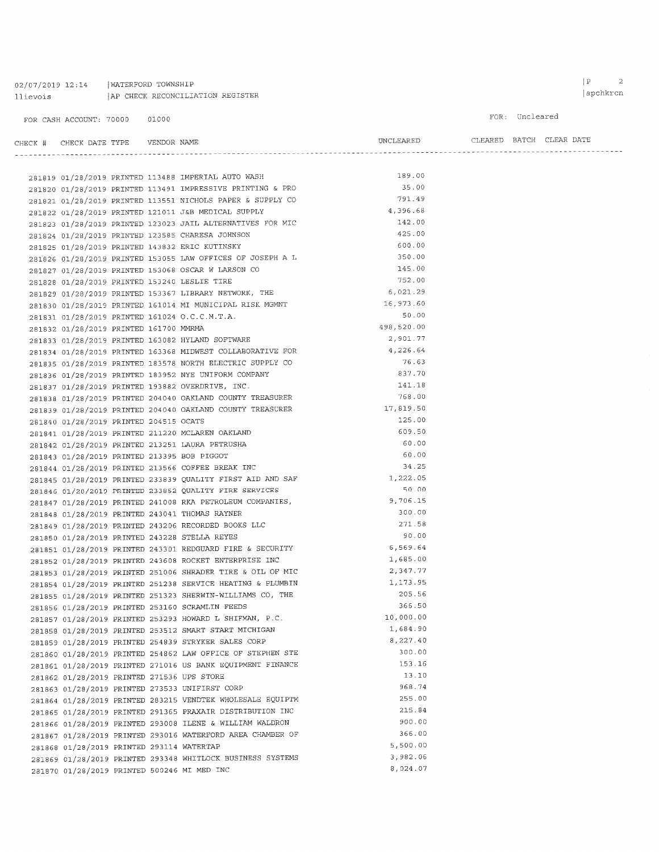# $02/07/2019$  12:14 | WATERFORD TOWNSHIP 11 ievois | AP CHECK RECONCILIATION REGISTER

FOR CASH ACCOUNT: 70000 01000

FOR: Uncleared

| CHECK # CHECK DATE TYPE    VENDOR NAME |                                                     | UNCLEARED |  | CLEARED BATCH CLEAR DATE |
|----------------------------------------|-----------------------------------------------------|-----------|--|--------------------------|
|                                        |                                                     |           |  |                          |
|                                        | 281819 01/28/2019 PRINTED 113488 IMPERIAL AUTO WASH | 189.00    |  |                          |

|  |                                             |  | 38181a 01\38\301a FKIMIRD TI3400 IMERKIND MOIO MYSU        |            |
|--|---------------------------------------------|--|------------------------------------------------------------|------------|
|  |                                             |  | 281820 01/28/2019 PRINTED 113491 IMPRESSIVE PRINTING & PRO | 35.00      |
|  |                                             |  | 281821 01/28/2019 PRINTED 113551 NICHOLS PAPER & SUPPLY CO | 791.49     |
|  |                                             |  | 281822 01/28/2019 PRINTED 121011 J&B MEDICAL SUPPLY        | 4,396.68   |
|  |                                             |  | 281823 01/28/2019 PRINTED 123023 JAIL ALTERNATIVES FOR MIC | 142.00     |
|  |                                             |  | 281824 01/28/2019 PRINTED 123585 CHARESA JOHNSON           | 425.00     |
|  |                                             |  | 281825 01/28/2019 PRINTED 143832 ERIC KUTINSKY             | 600.00     |
|  |                                             |  | 281826 01/28/2019 PRINTED 153055 LAW OFFICES OF JOSEPH A L | 350.00     |
|  |                                             |  | 281827 01/28/2019 PRINTED 153068 OSCAR W LARSON CO         | 145.00     |
|  |                                             |  | 281828 01/28/2019 PRINTED 153240 LESLIE TIRE               | 752.00     |
|  |                                             |  | 281829 01/28/2019 PRINTED 153367 LIBRARY NETWORK, THE      | 6,021.29   |
|  |                                             |  | 281830 01/28/2019 PRINTED 161014 MI MUNICIPAL RISK MGMNT   | 16,973.60  |
|  |                                             |  | 281831 01/28/2019 PRINTED 161024 O.C.C.M.T.A.              | 50.00      |
|  | 281832 01/28/2019 PRINTED 161700 MMRMA      |  |                                                            | 498,520.00 |
|  |                                             |  | 281833 01/28/2019 PRINTED 163082 HYLAND SOFTWARE           | 2,901.77   |
|  |                                             |  | 281834 01/28/2019 PRINTED 163368 MIDWEST COLLABORATIVE FOR | 4,226.64   |
|  |                                             |  | 281835 01/28/2019 PRINTED 183578 NORTH ELECTRIC SUPPLY CO  | 76.63      |
|  |                                             |  | 281836 01/28/2019 PRINTED 183952 NYE UNIFORM COMPANY       | 837.70     |
|  |                                             |  | 281837 01/28/2019 PRINTED 193882 OVERDRIVE, INC.           | 141.18     |
|  |                                             |  | 281838 01/28/2019 PRINTED 204040 OAKLAND COUNTY TREASURER  | 768.00     |
|  |                                             |  | 281839 01/28/2019 PRINTED 204040 OAKLAND COUNTY TREASURER  | 17,819.50  |
|  | 281840 01/28/2019 PRINTED 204515 OCATS      |  |                                                            | 125.00     |
|  |                                             |  | 281841 01/28/2019 PRINTED 211220 MCLAREN OAKLAND           | 609.50     |
|  |                                             |  | 281842 01/28/2019 PRINTED 213251 LAURA PETRUSHA            | 60.00      |
|  | 281843 01/28/2019 PRINTED 213395 BOB PIGGOT |  |                                                            | 60.00      |
|  |                                             |  | 281844 01/28/2019 PRINTED 213566 COFFEE BREAK INC          | 34.25      |
|  |                                             |  | 281845 01/28/2019 PRINTED 233839 QUALITY FIRST AID AND SAF | 1,222.05   |
|  |                                             |  | 281846 01/28/2019 PRINTED 233852 QUALITY FIRE SERVICES     | 50.00      |
|  |                                             |  | 281847 01/28/2019 PRINTED 241008 RKA PETROLEUM COMPANIES,  | 9,706.15   |
|  |                                             |  | 281848 01/28/2019 PRINTED 243041 THOMAS RAYNER             | 300.00     |
|  |                                             |  | 281849 01/28/2019 PRINTED 243206 RECORDED BOOKS LLC        | 271.58     |
|  |                                             |  | 281850 01/28/2019 PRINTED 243228 STELLA REYES              | 90.00      |
|  |                                             |  | 281851 01/28/2019 PRINTED 243301 REDGUARD FIRE & SECURITY  | 6,569.64   |
|  |                                             |  | 281852 01/28/2019 PRINTED 243608 ROCKET ENTERPRISE INC     | 1,685.00   |
|  |                                             |  | 281853 01/28/2019 PRINTED 251006 SHRADER TIRE & OIL OF MIC | 2,347.77   |
|  |                                             |  | 281854 01/28/2019 PRINTED 251238 SERVICE HEATING & PLUMBIN | 1,173.95   |
|  |                                             |  | 281855 01/28/2019 PRINTED 251323 SHERWIN-WILLIAMS CO, THE  | 205.56     |
|  |                                             |  | 281856 01/28/2019 PRINTED 253160 SCRAMLIN FEEDS            | 366.50     |
|  |                                             |  | 281857 01/28/2019 PRINTED 253293 HOWARD L SHIFMAN, P.C.    | 10,000.00  |
|  |                                             |  | 281858 01/28/2019 PRINTED 253512 SMART START MICHIGAN      | 1,684.90   |
|  |                                             |  | 281859 01/28/2019 PRINTED 254839 STRYKER SALES CORP        | 8,227.40   |
|  |                                             |  | 281860 01/28/2019 PRINTED 254862 LAW OFFICE OF STEPHEN STE | 300.00     |
|  |                                             |  | 281861 01/28/2019 PRINTED 271016 US BANK EQUIPMENT FINANCE | 153.16     |
|  | 281862 01/28/2019 PRINTED 271536 UPS STORE  |  |                                                            | 13.10      |
|  |                                             |  | 281863 01/28/2019 PRINTED 273533 UNIFIRST CORP             | 968.74     |
|  |                                             |  | 281864 01/28/2019 PRINTED 283215 VENDTEK WHOLESALE EQUIPTM | 255.00     |
|  |                                             |  | 281865 01/28/2019 PRINTED 291365 PRAXAIR DISTRIBUTION INC  | 215.84     |
|  |                                             |  | 281866 01/28/2019 PRINTED 293008 ILENE & WILLIAM WALDRON   | 900.00     |
|  |                                             |  | 281867 01/28/2019 PRINTED 293016 WATERFORD AREA CHAMBER OF | 366.00     |
|  | 281868 01/28/2019 PRINTED 293114 WATERTAP   |  |                                                            | 5,500.00   |
|  |                                             |  | 281869 01/28/2019 PRINTED 293348 WHITLOCK BUSINESS SYSTEMS | 3,982.06   |
|  |                                             |  | 281870 01/28/2019 PRINTED 500246 MI MED INC                | 8,024.07   |
|  |                                             |  |                                                            |            |

 $\begin{array}{|c|c|c|}\hline P&\qquad&2\\ \hline \end{array}$ apchkrcn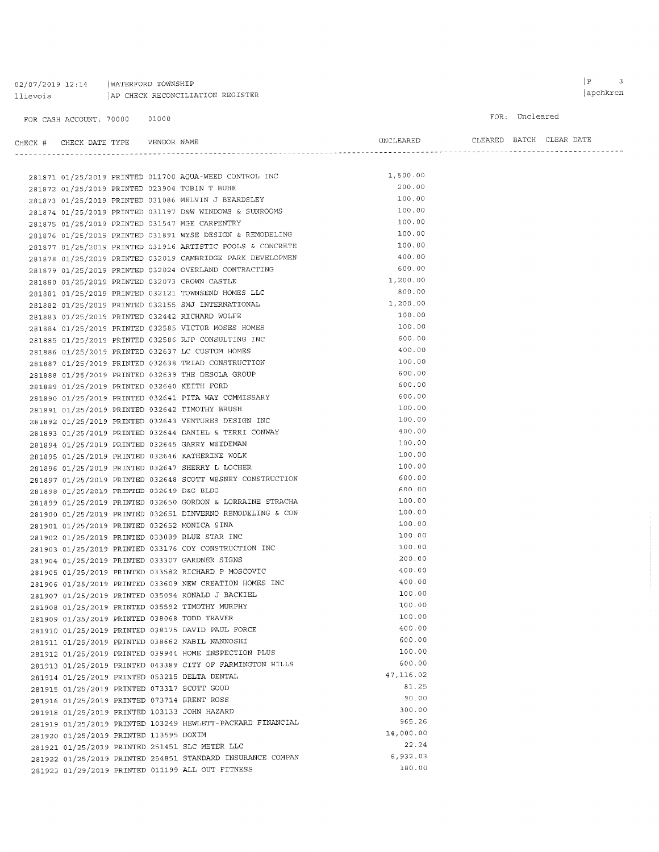02/07/2019 12:14 | WATERFORD TOWNSHIP   $\begin{array}{|c|c|} \hline P & \qquad & 3 \\ \hline \end{array}$ 

FOR: Uncleared

| CHECK # CHECK DATE TYPE    VENDOR NAME |                                        |  |                                                                 | UNCLEARED CLEARED BATCH CLEAR DATE |  |  |
|----------------------------------------|----------------------------------------|--|-----------------------------------------------------------------|------------------------------------|--|--|
|                                        |                                        |  |                                                                 |                                    |  |  |
|                                        |                                        |  |                                                                 |                                    |  |  |
|                                        |                                        |  | 281871 01/25/2019 PRINTED 011700 AQUA-WEED CONTROL INC 1,500.00 |                                    |  |  |
|                                        |                                        |  | 281872 01/25/2019 PRINTED 023904 TOBIN T BUHK                   | 200.00                             |  |  |
|                                        |                                        |  | 281873 01/25/2019 PRINTED 031086 MELVIN J BEARDSLEY             | 100.00                             |  |  |
|                                        |                                        |  | 281874 01/25/2019 PRINTED 031197 D&W WINDOWS & SUNROOMS         | 100.00                             |  |  |
|                                        |                                        |  | 281875 01/25/2019 PRINTED 031547 MGE CARPENTRY                  | 100.00                             |  |  |
|                                        |                                        |  | 281876 01/25/2019 PRINTED 031891 WYSE DESIGN & REMODELING       | 100.00                             |  |  |
|                                        |                                        |  | 281877 01/25/2019 PRINTED 031916 ARTISTIC POOLS & CONCRETE      | 100.00                             |  |  |
|                                        |                                        |  | 281878 01/25/2019 PRINTED 032019 CAMBRIDGE PARK DEVELOPMEN      | 400.00                             |  |  |
|                                        |                                        |  | 281879 01/25/2019 PRINTED 032024 OVERLAND CONTRACTING           | 600.00                             |  |  |
|                                        |                                        |  | 281880 01/25/2019 PRINTED 032073 CROWN CASTLE                   | 1,200.00                           |  |  |
|                                        |                                        |  | 281881 01/25/2019 PRINTED 032121 TOWNSEND HOMES LLC             | 800.00                             |  |  |
|                                        |                                        |  | 281882 01/25/2019 PRINTED 032155 SMJ INTERNATIONAL              | 1,200.00                           |  |  |
|                                        |                                        |  | 281883 01/25/2019 PRINTED 032442 RICHARD WOLFE                  | 100.00                             |  |  |
|                                        |                                        |  | 281884 01/25/2019 PRINTED 032585 VICTOR MOSES HOMES             | 100.00                             |  |  |
|                                        |                                        |  | 281885 01/25/2019 PRINTED 032586 RJP CONSULTING INC             | 600.00                             |  |  |
|                                        |                                        |  | 281886 01/25/2019 PRINTED 032637 LC CUSTOM HOMES                | 400.00                             |  |  |
|                                        |                                        |  | 281887 01/25/2019 PRINTED 032638 TRIAD CONSTRUCTION             | 100.00                             |  |  |
|                                        |                                        |  | 281888 01/25/2019 PRINTED 032639 THE DESOLA GROUP               | 600.00                             |  |  |
|                                        |                                        |  | 281889 01/25/2019 PRINTED 032640 KEITH FORD                     | 600.00                             |  |  |
|                                        |                                        |  | 281890 01/25/2019 PRINTED 032641 PITA WAY COMMISSARY            | 600.00                             |  |  |
|                                        |                                        |  | 281891 01/25/2019 PRINTED 032642 TIMOTHY BRUSH                  | 100.00                             |  |  |
|                                        |                                        |  | 281892 01/25/2019 PRINTED 032643 VENTURES DESIGN INC            | 100.00                             |  |  |
|                                        |                                        |  | 281893 01/25/2019 PRINTED 032644 DANIEL & TERRI CONWAY          | 400.00                             |  |  |
|                                        |                                        |  | 281894 01/25/2019 PRINTED 032645 GARRY WEIDEMAN                 | 100.00                             |  |  |
|                                        |                                        |  | 281895 01/25/2019 PRINTED 032646 KATHERINE WOLK                 | 100.00                             |  |  |
|                                        |                                        |  | 281896 01/25/2019 PRINTED 032647 SHERRY L LOCHER                | 100.00                             |  |  |
|                                        |                                        |  | 281897 01/25/2019 PRINTED 032648 SCOTT WESNEY CONSTRUCTION      | 600.00                             |  |  |
|                                        |                                        |  | 281898 01/25/2019 PRINTED 032649 D&G BLDG                       | 600.00                             |  |  |
|                                        |                                        |  | 281899 01/25/2019 PRINTED 032650 GORDON & LORRAINE STRACHA      | 100.00                             |  |  |
|                                        |                                        |  | 281900 01/25/2019 PRINTED 032651 DINVERNO REMODELING & CON      | 100.00                             |  |  |
|                                        |                                        |  | 281901 01/25/2019 PRINTED 032652 MONICA SINA                    | 100.00                             |  |  |
|                                        |                                        |  | 281902 01/25/2019 PRINTED 033089 BLUE STAR INC                  | 100.00                             |  |  |
|                                        |                                        |  | 281903 01/25/2019 PRINTED 033176 COY CONSTRUCTION INC           | 100.00                             |  |  |
|                                        |                                        |  | 281904 01/25/2019 PRINTED 033307 GARDNER SIGNS                  | 200.00                             |  |  |
|                                        |                                        |  | 281905 01/25/2019 PRINTED 033582 RICHARD P MOSCOVIC             | 400.00                             |  |  |
|                                        |                                        |  | 281906 01/25/2019 PRINTED 033609 NEW CREATION HOMES INC         | 400.00                             |  |  |
|                                        |                                        |  | 281907 01/25/2019 PRINTED 035094 RONALD J BACKIEL               | 100.00                             |  |  |
|                                        |                                        |  | 281908 01/25/2019 PRINTED 035592 TIMOTHY MURPHY                 | 100.00                             |  |  |
|                                        |                                        |  | 281909 01/25/2019 PRINTED 038068 TODD TRAVER                    | 100.00                             |  |  |
|                                        |                                        |  | 281910 01/25/2019 PRINTED 038175 DAVID PAUL FORCE               | 400.00                             |  |  |
|                                        |                                        |  | 281911 01/25/2019 PRINTED 038662 NABIL NANNOSHI                 | 600.00                             |  |  |
|                                        |                                        |  | 281912 01/25/2019 PRINTED 039944 HOME INSPECTION PLUS           | 100.00                             |  |  |
|                                        |                                        |  | 281913 01/25/2019 PRINTED 043389 CITY OF FARMINGTON HILLS       | 600.00                             |  |  |
|                                        |                                        |  | 281914 01/25/2019 PRINTED 053215 DELTA DENTAL                   | 47,116.02                          |  |  |
|                                        |                                        |  | 281915 01/25/2019 PRINTED 073317 SCOTT GOOD                     | 81.25                              |  |  |
|                                        |                                        |  | 281916 01/25/2019 PRINTED 073714 BRENT ROSS                     | 90.00                              |  |  |
|                                        |                                        |  | 281918 01/25/2019 PRINTED 103133 JOHN HAZARD                    | 300.00                             |  |  |
|                                        |                                        |  | 281919 01/25/2019 PRINTED 103249 HEWLETT-PACKARD FINANCIAL      | 965.26                             |  |  |
|                                        | 281920 01/25/2019 PRINTED 113595 DOXIM |  |                                                                 | 14,000.00                          |  |  |
|                                        |                                        |  | 281921 01/25/2019 PRINTED 251451 SLC METER LLC                  | 22.24                              |  |  |
|                                        |                                        |  | 281922 01/25/2019 PRINTED 254851 STANDARD INSURANCE COMPAN      | 6,932.03                           |  |  |
|                                        |                                        |  | 281923 01/29/2019 PRINTED 011199 ALL OUT FITNESS                | 180.00                             |  |  |
|                                        |                                        |  |                                                                 |                                    |  |  |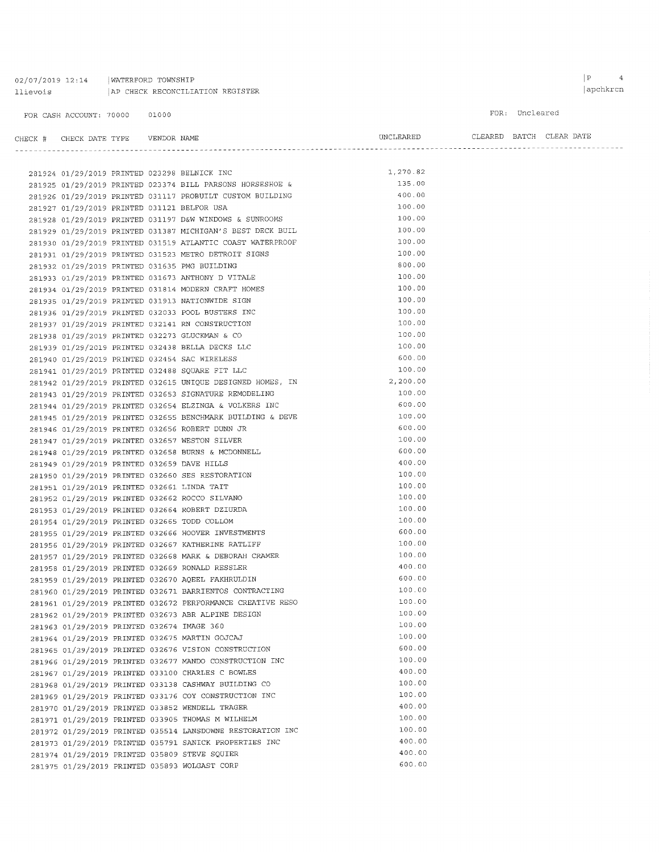| 02/07/2019 12:14 | WATERFORD TOWNSHIP               |
|------------------|----------------------------------|
| llievois         | AP CHECK RECONCILIATION REGISTER |

FOR CASH ACCOUNT: 70000 01000

#### FOR: Uncleared

| CHECK # CHECK DATE TYPE    VENDOR NAME      |  |                                                                                                                                                                                                                                            | $\begin{minipage}{0.9\linewidth} \textbf{URARED} & \textbf{CLEARED} & \textbf{BATCH} & \textbf{CLEAR} & \textbf{DATE} \end{minipage}$ |  |  |
|---------------------------------------------|--|--------------------------------------------------------------------------------------------------------------------------------------------------------------------------------------------------------------------------------------------|---------------------------------------------------------------------------------------------------------------------------------------|--|--|
|                                             |  |                                                                                                                                                                                                                                            |                                                                                                                                       |  |  |
|                                             |  |                                                                                                                                                                                                                                            | 1,270.82                                                                                                                              |  |  |
|                                             |  | 281924 01/29/2019 PRINTED 023298 BELNICK INC<br>281925 01/29/2019 PRINTED 023374 BILL PARSONS HORSESHOE &                                                                                                                                  | 135.00                                                                                                                                |  |  |
|                                             |  |                                                                                                                                                                                                                                            | 400.00                                                                                                                                |  |  |
| 281927 01/29/2019 PRINTED 031121 BELFOR USA |  | 281926 01/29/2019 PRINTED 031117 PROBUILT CUSTOM BUILDING                                                                                                                                                                                  | 100.00                                                                                                                                |  |  |
|                                             |  | 281928 01/29/2019 PRINTED 031197 D&W WINDOWS & SUNROOMS                                                                                                                                                                                    | 100.00                                                                                                                                |  |  |
|                                             |  | 281929 01/29/2019 PRINTED 031387 MICHIGAN'S BEST DECK BUIL                                                                                                                                                                                 | 100.00                                                                                                                                |  |  |
|                                             |  | 281930 01/29/2019 PRINTED 031519 ATLANTIC COAST WATERPROOF                                                                                                                                                                                 | 100.00                                                                                                                                |  |  |
|                                             |  | 281931 01/29/2019 PRINTED 031523 METRO DETROIT SIGNS                                                                                                                                                                                       | 100.00                                                                                                                                |  |  |
|                                             |  | 281932 01/29/2019 PRINTED 031635 PMG BUILDING                                                                                                                                                                                              | 800.00                                                                                                                                |  |  |
|                                             |  | 281933 01/29/2019 PRINTED 031673 ANTHONY D VITALE                                                                                                                                                                                          | 100.00                                                                                                                                |  |  |
|                                             |  | 281934 01/29/2019 PRINTED 031814 MODERN CRAFT HOMES                                                                                                                                                                                        | 100.00                                                                                                                                |  |  |
|                                             |  | 281935 01/29/2019 PRINTED 031913 NATIONWIDE SIGN                                                                                                                                                                                           | 100.00                                                                                                                                |  |  |
|                                             |  | 281936 01/29/2019 PRINTED 032033 POOL BUSTERS INC                                                                                                                                                                                          | 100.00                                                                                                                                |  |  |
|                                             |  | 281937 01/29/2019 PRINTED 032141 RN CONSTRUCTION                                                                                                                                                                                           | 100.00                                                                                                                                |  |  |
|                                             |  |                                                                                                                                                                                                                                            | 100.00                                                                                                                                |  |  |
|                                             |  | 281938 01/29/2019 PRINTED 032273 GLUCKMAN & CO<br>281939 01/29/2019 PRINTED 032438 BELLA DECKS LLC                                                                                                                                         | 100.00                                                                                                                                |  |  |
|                                             |  |                                                                                                                                                                                                                                            | 600.00                                                                                                                                |  |  |
|                                             |  | 281940 01/29/2019 PRINTED 032454 SAC WIRELESS                                                                                                                                                                                              | 100.00                                                                                                                                |  |  |
|                                             |  | 281941 01/29/2019 PRINTED 032488 SQUARE FIT LLC                                                                                                                                                                                            | 2,200.00                                                                                                                              |  |  |
|                                             |  | 281942 01/29/2019 PRINTED 032615 UNIQUE DESIGNED HOMES, IN<br>281943 01/29/2019 PRINTED 032653 SIGNATURE REMODELING<br>281944 01/29/2019 PRINTED 032654 ELZINGA & VOLKERS INC                                                              | 100.00                                                                                                                                |  |  |
|                                             |  |                                                                                                                                                                                                                                            |                                                                                                                                       |  |  |
|                                             |  |                                                                                                                                                                                                                                            | 600.00                                                                                                                                |  |  |
|                                             |  | 281945 01/29/2019 PRINTED 032655 BENCHMARK BUILDING & DEVE                                                                                                                                                                                 | 100.00                                                                                                                                |  |  |
|                                             |  | 281946 01/29/2019 PRINTED 032656 ROBERT DUNN JR                                                                                                                                                                                            | 600.00                                                                                                                                |  |  |
|                                             |  | 281947 01/29/2019 PRINTED 032657 WESTON SILVER                                                                                                                                                                                             | 100.00                                                                                                                                |  |  |
|                                             |  | 281947 01/29/2019 PRINTED 032657 WESTON SILVER<br>281948 01/29/2019 PRINTED 032658 BURNS & MCDONNELL<br>281949 01/29/2019 PRINTED 032659 DAVE HILLS<br>281950 01/29/2019 PRINTED 032660 SES RESTORATION<br>281951 01/29/2019 PRINTED 03266 | 600.00                                                                                                                                |  |  |
|                                             |  |                                                                                                                                                                                                                                            | 400.00                                                                                                                                |  |  |
|                                             |  |                                                                                                                                                                                                                                            | 100.00                                                                                                                                |  |  |
|                                             |  |                                                                                                                                                                                                                                            | 100.00                                                                                                                                |  |  |
|                                             |  |                                                                                                                                                                                                                                            | 100.00                                                                                                                                |  |  |
|                                             |  |                                                                                                                                                                                                                                            | 100.00                                                                                                                                |  |  |
|                                             |  | 281954 01/29/2019 PRINTED 032665 TODD COLLOM                                                                                                                                                                                               | 100.00                                                                                                                                |  |  |
|                                             |  | 281955 01/29/2019 PRINTED 032666 HOOVER INVESTMENTS                                                                                                                                                                                        | 600.00                                                                                                                                |  |  |
|                                             |  | 281956 01/29/2019 PRINTED 032667 KATHERINE RATLIFF                                                                                                                                                                                         | 100.00                                                                                                                                |  |  |
|                                             |  | 281957 01/29/2019 PRINTED 032668 MARK & DEBORAH CRAMER                                                                                                                                                                                     | 100.00                                                                                                                                |  |  |
|                                             |  | 281958 01/29/2019 PRINTED 032669 RONALD RESSLER                                                                                                                                                                                            | 400.00                                                                                                                                |  |  |
|                                             |  | 281959 01/29/2019 PRINTED 032670 AQEEL FAKHRULDIN                                                                                                                                                                                          | 600.00                                                                                                                                |  |  |
|                                             |  | 281960 01/29/2019 PRINTED 032671 BARRIENTOS CONTRACTING                                                                                                                                                                                    | 100.00                                                                                                                                |  |  |
|                                             |  | 281961 01/29/2019 PRINTED 032672 PERFORMANCE CREATIVE RESO                                                                                                                                                                                 | 100.00                                                                                                                                |  |  |
|                                             |  | 281962 01/29/2019 PRINTED 032673 ABR ALPINE DESIGN                                                                                                                                                                                         | 100.00                                                                                                                                |  |  |
| 281963 01/29/2019 PRINTED 032674 IMAGE 360  |  |                                                                                                                                                                                                                                            | 100.00                                                                                                                                |  |  |
|                                             |  | 281964 01/29/2019 PRINTED 032675 MARTIN GOJCAJ                                                                                                                                                                                             | 100.00                                                                                                                                |  |  |
|                                             |  | 281965 01/29/2019 PRINTED 032676 VISION CONSTRUCTION                                                                                                                                                                                       | 600.00                                                                                                                                |  |  |
|                                             |  | 281966 01/29/2019 PRINTED 032677 MANDO CONSTRUCTION INC                                                                                                                                                                                    | 100.00                                                                                                                                |  |  |
|                                             |  | 281967 01/29/2019 PRINTED 033100 CHARLES C BOWLES                                                                                                                                                                                          | 400.00                                                                                                                                |  |  |
|                                             |  | 281968 01/29/2019 PRINTED 033138 CASHWAY BUILDING CO                                                                                                                                                                                       | 100.00                                                                                                                                |  |  |
|                                             |  | 281969 01/29/2019 PRINTED 033176 COY CONSTRUCTION INC                                                                                                                                                                                      | 100.00                                                                                                                                |  |  |
|                                             |  | 281970 01/29/2019 PRINTED 033852 WENDELL TRAGER                                                                                                                                                                                            | 400.00                                                                                                                                |  |  |
|                                             |  | 281971 01/29/2019 PRINTED 033905 THOMAS M WILHELM                                                                                                                                                                                          | 100.00                                                                                                                                |  |  |
|                                             |  | 281972 01/29/2019 PRINTED 035514 LANSDOWNE RESTORATION INC                                                                                                                                                                                 | 100.00                                                                                                                                |  |  |
|                                             |  | 281973 01/29/2019 PRINTED 035791 SANICK PROPERTIES INC                                                                                                                                                                                     | 400.00                                                                                                                                |  |  |
|                                             |  | 281974 01/29/2019 PRINTED 035809 STEVE SQUIER                                                                                                                                                                                              | 400.00                                                                                                                                |  |  |
|                                             |  | 281975 01/29/2019 PRINTED 035893 WOLGAST CORP                                                                                                                                                                                              | 600.00                                                                                                                                |  |  |

 $\begin{array}{ccc} \mid & \mathbf{P} & \mathbf{4} \end{array}$  $\vert$ apchkrcn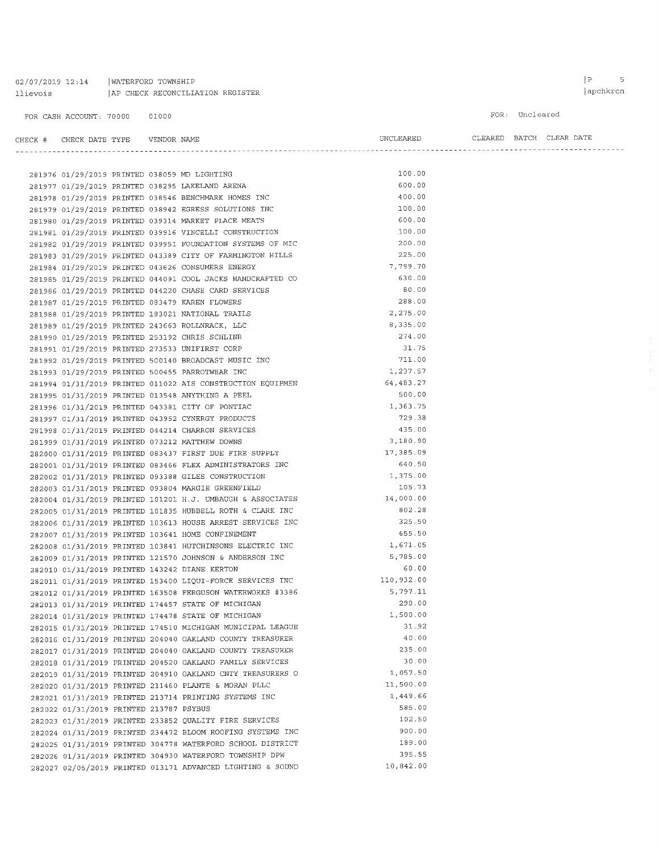02/07/2019 12:14 | WATERFORD TOWNSHIP 11 ievois | AP CHECK RECONCILIATION REGISTER

FOR: Uncleared

| CHECK # CHECK DATE TYPE    VENDOR NAME  |  |                                                                                                                         |                     | UNCLEARED CLEARED BATCH CLEAR DATE |  |
|-----------------------------------------|--|-------------------------------------------------------------------------------------------------------------------------|---------------------|------------------------------------|--|
|                                         |  |                                                                                                                         |                     |                                    |  |
|                                         |  |                                                                                                                         |                     |                                    |  |
|                                         |  | 281976 01/29/2019 PRINTED 038059 MD LIGHTING<br>281977 01/29/2019 PRINTED 038295 LAKELAND ARENA                         | 100.00              |                                    |  |
|                                         |  |                                                                                                                         | 600.00              |                                    |  |
|                                         |  | 281978 01/29/2019 PRINTED 038546 BENCHMARK HOMES INC                                                                    | 400.00              |                                    |  |
|                                         |  | 281979 01/29/2019 PRINTED 038942 EGRESS SOLUTIONS INC                                                                   | 100.00              |                                    |  |
|                                         |  | 281980 01/29/2019 PRINTED 039314 MARKET PLACE MEATS                                                                     | 600.00              |                                    |  |
|                                         |  | 281981 01/29/2019 PRINTED 039916 VINCELLI CONSTRUCTION                                                                  | 100.00              |                                    |  |
|                                         |  | 281982 01/29/2019 PRINTED 039951 FOUNDATION SYSTEMS OF MIC                                                              | 200.00              |                                    |  |
|                                         |  | 281983 01/29/2019 PRINTED 043389 CITY OF FARMINGTON HILLS                                                               | 225.00              |                                    |  |
|                                         |  | 281984 01/29/2019 PRINTED 043626 CONSUMERS ENERGY                                                                       | 7,799.70            |                                    |  |
|                                         |  | 281985 01/29/2019 PRINTED 044091 COOL JACKS HANDCRAFTED CO                                                              | 630.00              |                                    |  |
|                                         |  | 281986 01/29/2019 PRINTED 044220 CHASE CARD SERVICES                                                                    | 80.00               |                                    |  |
|                                         |  | 281987 01/29/2019 PRINTED 083479 KAREN FLOWERS                                                                          | 288.00              |                                    |  |
|                                         |  | 281988 01/29/2019 PRINTED 183021 NATIONAL TRAILS                                                                        | 2,275.00            |                                    |  |
|                                         |  | 281989 01/29/2019 PRINTED 243663 ROLLNRACK, LLC                                                                         | 8,335.00            |                                    |  |
|                                         |  | 281990 01/29/2019 PRINTED 253192 CHRIS SCHLINR                                                                          | 274.00              |                                    |  |
|                                         |  | 281991 01/29/2019 PRINTED 273533 UNIFIRST CORP                                                                          | 31.75               |                                    |  |
|                                         |  | 281992 01/29/2019 PRINTED 500140 BROADCAST MUSIC INC                                                                    | 711.00              |                                    |  |
|                                         |  | 281993 01/29/2019 PRINTED 500455 PARROTWEAR INC                                                                         | 1,237.57            |                                    |  |
|                                         |  | 281994 01/31/2019 PRINTED 011022 AIS CONSTRUCTION EQUIPMEN                                                              | 64,483.27           |                                    |  |
|                                         |  | 281995 01/31/2019 PRINTED 013548 ANYTHING A PEEL                                                                        | 500.00              |                                    |  |
|                                         |  | 281996 01/31/2019 PRINTED 043381 CITY OF PONTIAC                                                                        | 1,363.75            |                                    |  |
|                                         |  | 281997 01/31/2019 PRINTED 043952 CYNERGY PRODUCTS                                                                       | 729.38              |                                    |  |
|                                         |  | 281998 01/31/2019 PRINTED 044214 CHARRON SERVICES                                                                       | 435.00              |                                    |  |
|                                         |  | 281999 01/31/2019 PRINTED 073212 MATTHEW DOWNS                                                                          | 3,180.90            |                                    |  |
|                                         |  | 282000 01/31/2019 PRINTED 083437 FIRST DUE FIRE SUPPLY 17,385.09                                                        |                     |                                    |  |
|                                         |  | 282001 01/31/2019 PRINTED 083466 FLEX ADMINISTRATORS INC                                                                | 640.50              |                                    |  |
|                                         |  | 282002 01/31/2019 PRINTED 093388 GILES CONSTRUCTION                                                                     | 1,375.00            |                                    |  |
|                                         |  | 282003 01/31/2019 PRINTED 093804 MARGIE GREENFIELD                                                                      | 105.73<br>14,000.00 |                                    |  |
|                                         |  | 282004 01/31/2019 PRINTED 101201 H.J. UMBAUGH & ASSOCIATES                                                              | 802.28              |                                    |  |
|                                         |  | 282005 01/31/2019 PRINTED 101835 HUBBELL ROTH & CLARK INC                                                               | 325.50              |                                    |  |
|                                         |  | 282006 01/31/2019 PRINTED 103613 HOUSE ARREST SERVICES INC                                                              | 655.50              |                                    |  |
|                                         |  | 282007 01/31/2019 PRINTED 103641 HOME CONFINEMENT                                                                       | 1,671.05            |                                    |  |
|                                         |  | 282008 01/31/2019 PRINTED 103841 HUTCHINSONS ELECTRIC INC                                                               | 5,785.00            |                                    |  |
|                                         |  | 282009 01/31/2019 PRINTED 121570 JOHNSON & ANDERSON INC                                                                 | 60.00               |                                    |  |
|                                         |  | 282010 01/31/2019 PRINTED 143242 DIANE KERTON<br>282011 01/31/2019 PRINTED 153400 LIQUI-FORCE SERVICES INC 110,932.00   |                     |                                    |  |
|                                         |  |                                                                                                                         | 5,797.11            |                                    |  |
|                                         |  | 282012 01/31/2019 PRINTED 163508 FERGUSON WATERWORKS #3386<br>282013 01/31/2019 PRINTED 174457 STATE OF MICHIGAN        | 290.00              |                                    |  |
|                                         |  | 282014 01/31/2019 PRINTED 174478 STATE OF MICHIGAN                                                                      | 1,500.00            |                                    |  |
|                                         |  |                                                                                                                         | 31.92               |                                    |  |
|                                         |  | 282015 01/31/2019 PRINTED 174510 MICHIGAN MUNICIPAL LEAGUE<br>282016 01/31/2019 PRINTED 204040 OAKLAND COUNTY TREASURER | 40.00               |                                    |  |
|                                         |  | 282017 01/31/2019 PRINTED 204040 OAKLAND COUNTY TREASURER                                                               | 235.00              |                                    |  |
|                                         |  | 282018 01/31/2019 PRINTED 204520 OAKLAND FAMILY SERVICES                                                                | 30.00               |                                    |  |
|                                         |  | 282019 01/31/2019 PRINTED 204910 OAKLAND CNTY TREASURERS O                                                              | 1,057.50            |                                    |  |
|                                         |  | 282020 01/31/2019 PRINTED 211460 PLANTE & MORAN PLLC                                                                    | 11,500.00           |                                    |  |
|                                         |  | 282021 01/31/2019 PRINTED 213714 PRINTING SYSTEMS INC                                                                   | 1,449.66            |                                    |  |
| 282022 01/31/2019 PRINTED 213787 PSYBUS |  |                                                                                                                         | 585.00              |                                    |  |
|                                         |  | 282023 01/31/2019 PRINTED 233852 QUALITY FIRE SERVICES                                                                  | 102.50              |                                    |  |
|                                         |  | 282024 01/31/2019 PRINTED 234472 BLOOM ROOFING SYSTEMS INC                                                              | 900.00              |                                    |  |
|                                         |  | 282025 01/31/2019 PRINTED 304778 WATERFORD SCHOOL DISTRICT                                                              | 189.00              |                                    |  |
|                                         |  | 282026 01/31/2019 PRINTED 304930 WATERFORD TOWNSHIP DPW                                                                 | 395.55              |                                    |  |
|                                         |  | 282027 02/05/2019 PRINTED 013171 ADVANCED LIGHTING & SOUND                                                              | 10,842.00           |                                    |  |
|                                         |  |                                                                                                                         |                     |                                    |  |